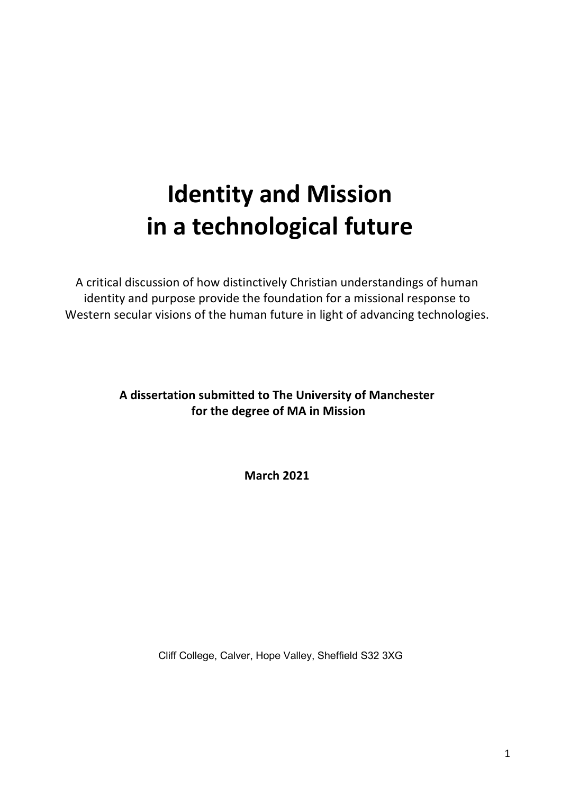# **Identity and Mission in a technological future**

A critical discussion of how distinctively Christian understandings of human identity and purpose provide the foundation for a missional response to Western secular visions of the human future in light of advancing technologies.

# **A dissertation submitted to The University of Manchester for the degree of MA in Mission**

**March 2021**

Cliff College, Calver, Hope Valley, Sheffield S32 3XG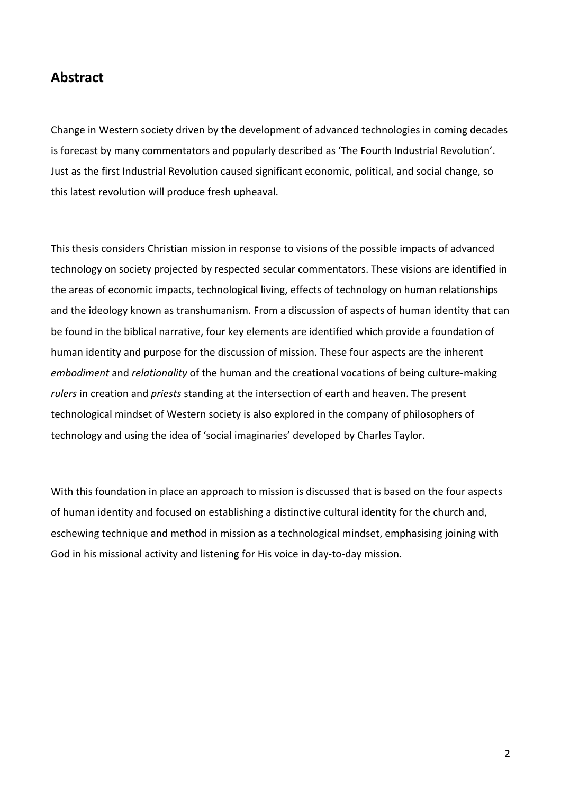# **Abstract**

Change in Western society driven by the development of advanced technologies in coming decades is forecast by many commentators and popularly described as 'The Fourth Industrial Revolution'. Just as the first Industrial Revolution caused significant economic, political, and social change, so this latest revolution will produce fresh upheaval.

This thesis considers Christian mission in response to visions of the possible impacts of advanced technology on society projected by respected secular commentators. These visions are identified in the areas of economic impacts, technological living, effects of technology on human relationships and the ideology known as transhumanism. From a discussion of aspects of human identity that can be found in the biblical narrative, four key elements are identified which provide a foundation of human identity and purpose for the discussion of mission. These four aspects are the inherent *embodiment* and *relationality* of the human and the creational vocations of being culture-making *rulers* in creation and *priests* standing at the intersection of earth and heaven. The present technological mindset of Western society is also explored in the company of philosophers of technology and using the idea of 'social imaginaries' developed by Charles Taylor.

With this foundation in place an approach to mission is discussed that is based on the four aspects of human identity and focused on establishing a distinctive cultural identity for the church and, eschewing technique and method in mission as a technological mindset, emphasising joining with God in his missional activity and listening for His voice in day-to-day mission.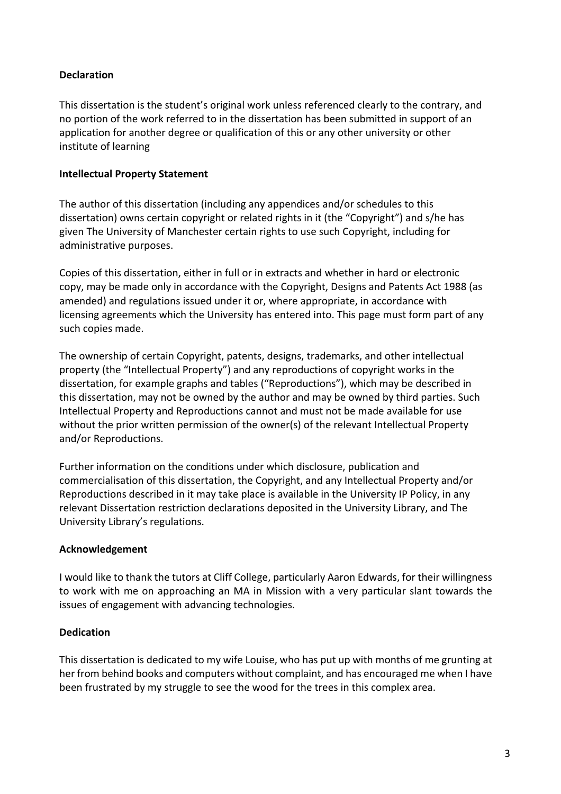## **Declaration**

This dissertation is the student's original work unless referenced clearly to the contrary, and no portion of the work referred to in the dissertation has been submitted in support of an application for another degree or qualification of this or any other university or other institute of learning

### **Intellectual Property Statement**

The author of this dissertation (including any appendices and/or schedules to this dissertation) owns certain copyright or related rights in it (the "Copyright") and s/he has given The University of Manchester certain rights to use such Copyright, including for administrative purposes.

Copies of this dissertation, either in full or in extracts and whether in hard or electronic copy, may be made only in accordance with the Copyright, Designs and Patents Act 1988 (as amended) and regulations issued under it or, where appropriate, in accordance with licensing agreements which the University has entered into. This page must form part of any such copies made.

The ownership of certain Copyright, patents, designs, trademarks, and other intellectual property (the "Intellectual Property") and any reproductions of copyright works in the dissertation, for example graphs and tables ("Reproductions"), which may be described in this dissertation, may not be owned by the author and may be owned by third parties. Such Intellectual Property and Reproductions cannot and must not be made available for use without the prior written permission of the owner(s) of the relevant Intellectual Property and/or Reproductions.

Further information on the conditions under which disclosure, publication and commercialisation of this dissertation, the Copyright, and any Intellectual Property and/or Reproductions described in it may take place is available in the University IP Policy, in any relevant Dissertation restriction declarations deposited in the University Library, and The University Library's regulations.

### **Acknowledgement**

I would like to thank the tutors at Cliff College, particularly Aaron Edwards, for their willingness to work with me on approaching an MA in Mission with a very particular slant towards the issues of engagement with advancing technologies.

#### **Dedication**

This dissertation is dedicated to my wife Louise, who has put up with months of me grunting at her from behind books and computers without complaint, and has encouraged me when I have been frustrated by my struggle to see the wood for the trees in this complex area.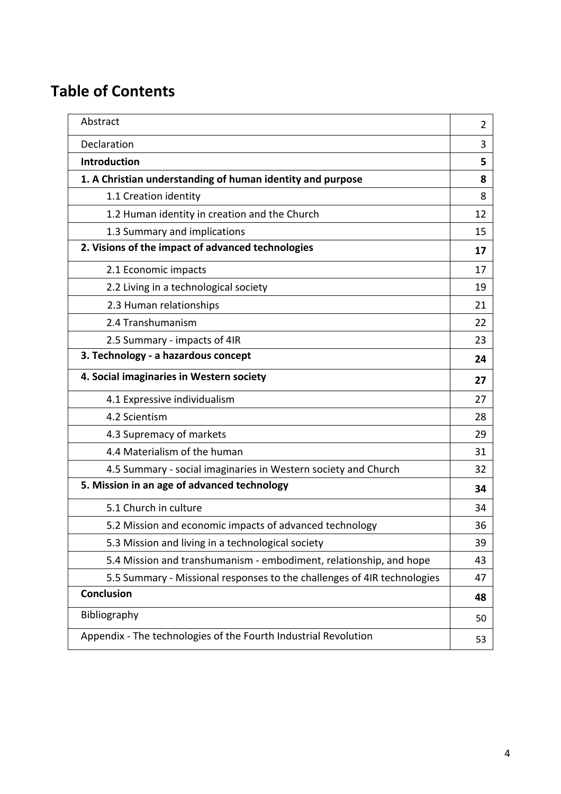# **Table of Contents**

| Abstract                                                                | 2  |
|-------------------------------------------------------------------------|----|
| Declaration                                                             | 3  |
| Introduction                                                            | 5  |
| 1. A Christian understanding of human identity and purpose              | 8  |
| 1.1 Creation identity                                                   | 8  |
| 1.2 Human identity in creation and the Church                           | 12 |
| 1.3 Summary and implications                                            | 15 |
| 2. Visions of the impact of advanced technologies                       | 17 |
| 2.1 Economic impacts                                                    | 17 |
| 2.2 Living in a technological society                                   | 19 |
| 2.3 Human relationships                                                 | 21 |
| 2.4 Transhumanism                                                       | 22 |
| 2.5 Summary - impacts of 4IR                                            | 23 |
| 3. Technology - a hazardous concept                                     | 24 |
| 4. Social imaginaries in Western society                                | 27 |
| 4.1 Expressive individualism                                            | 27 |
| 4.2 Scientism                                                           | 28 |
| 4.3 Supremacy of markets                                                | 29 |
| 4.4 Materialism of the human                                            | 31 |
| 4.5 Summary - social imaginaries in Western society and Church          | 32 |
| 5. Mission in an age of advanced technology                             | 34 |
| 5.1 Church in culture                                                   | 34 |
| 5.2 Mission and economic impacts of advanced technology                 | 36 |
| 5.3 Mission and living in a technological society                       | 39 |
| 5.4 Mission and transhumanism - embodiment, relationship, and hope      | 43 |
| 5.5 Summary - Missional responses to the challenges of 4IR technologies | 47 |
| <b>Conclusion</b>                                                       | 48 |
| Bibliography                                                            | 50 |
| Appendix - The technologies of the Fourth Industrial Revolution         | 53 |
|                                                                         |    |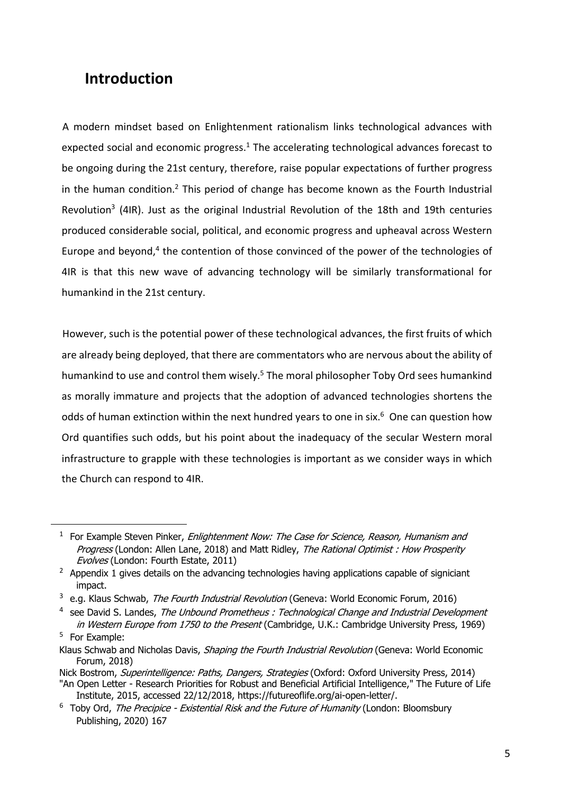# **Introduction**

A modern mindset based on Enlightenment rationalism links technological advances with expected social and economic progress. $1$  The accelerating technological advances forecast to be ongoing during the 21st century, therefore, raise popular expectations of further progress in the human condition.<sup>2</sup> This period of change has become known as the Fourth Industrial Revolution<sup>3</sup> (4IR). Just as the original Industrial Revolution of the 18th and 19th centuries produced considerable social, political, and economic progress and upheaval across Western Europe and beyond, $4$  the contention of those convinced of the power of the technologies of 4IR is that this new wave of advancing technology will be similarly transformational for humankind in the 21st century.

However, such is the potential power of these technological advances, the first fruits of which are already being deployed, that there are commentators who are nervous about the ability of humankind to use and control them wisely.<sup>5</sup> The moral philosopher Toby Ord sees humankind as morally immature and projects that the adoption of advanced technologies shortens the odds of human extinction within the next hundred years to one in six. $<sup>6</sup>$  One can question how</sup> Ord quantifies such odds, but his point about the inadequacy of the secular Western moral infrastructure to grapple with these technologies is important as we consider ways in which the Church can respond to 4IR.

Institute, 2015, accessed 22/12/2018, https://futureoflife.org/ai-open-letter/.

 $1$  For Example Steven Pinker, *Enlightenment Now: The Case for Science, Reason, Humanism and* Progress (London: Allen Lane, 2018) and Matt Ridley, The Rational Optimist : How Prosperity Evolves (London: Fourth Estate, 2011)

 $2$  Appendix 1 gives details on the advancing technologies having applications capable of signiciant impact.

<sup>&</sup>lt;sup>3</sup> e.g. Klaus Schwab, *The Fourth Industrial Revolution* (Geneva: World Economic Forum, 2016)

 $4$  see David S. Landes, The Unbound Prometheus : Technological Change and Industrial Development in Western Europe from 1750 to the Present (Cambridge, U.K.: Cambridge University Press, 1969)

<sup>5</sup> For Example:

Klaus Schwab and Nicholas Davis, Shaping the Fourth Industrial Revolution (Geneva: World Economic Forum, 2018)

Nick Bostrom, *Superintelligence: Paths, Dangers, Strategies* (Oxford: Oxford University Press, 2014) "An Open Letter - Research Priorities for Robust and Beneficial Artificial Intelligence," The Future of Life

<sup>&</sup>lt;sup>6</sup> Toby Ord, The Precipice - Existential Risk and the Future of Humanity (London: Bloomsbury Publishing, 2020) 167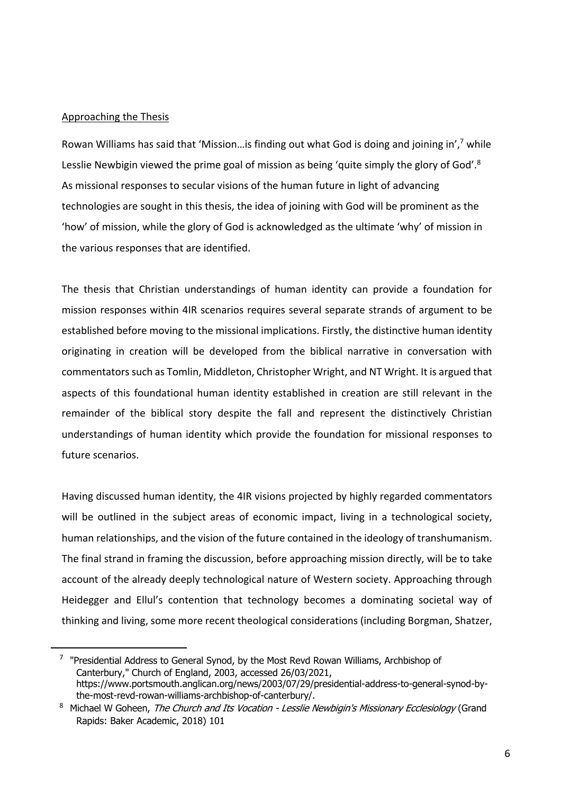#### Approaching the Thesis

Rowan Williams has said that 'Mission…is finding out what God is doing and joining in',7 while Lesslie Newbigin viewed the prime goal of mission as being 'quite simply the glory of God'.<sup>8</sup> As missional responses to secular visions of the human future in light of advancing technologies are sought in this thesis, the idea of joining with God will be prominent as the 'how' of mission, while the glory of God is acknowledged as the ultimate 'why' of mission in the various responses that are identified.

The thesis that Christian understandings of human identity can provide a foundation for mission responses within 4IR scenarios requires several separate strands of argument to be established before moving to the missional implications. Firstly, the distinctive human identity originating in creation will be developed from the biblical narrative in conversation with commentators such as Tomlin, Middleton, Christopher Wright, and NT Wright. It is argued that aspects of this foundational human identity established in creation are still relevant in the remainder of the biblical story despite the fall and represent the distinctively Christian understandings of human identity which provide the foundation for missional responses to future scenarios.

Having discussed human identity, the 4IR visions projected by highly regarded commentators will be outlined in the subject areas of economic impact, living in a technological society, human relationships, and the vision of the future contained in the ideology of transhumanism. The final strand in framing the discussion, before approaching mission directly, will be to take account of the already deeply technological nature of Western society. Approaching through Heidegger and Ellul's contention that technology becomes a dominating societal way of thinking and living, some more recent theological considerations (including Borgman, Shatzer,

 $7$  "Presidential Address to General Synod, by the Most Revd Rowan Williams, Archbishop of Canterbury," Church of England, 2003, accessed 26/03/2021, https://www.portsmouth.anglican.org/news/2003/07/29/presidential-address-to-general-synod-bythe-most-revd-rowan-williams-archbishop-of-canterbury/.

<sup>&</sup>lt;sup>8</sup> Michael W Goheen, The Church and Its Vocation - Lesslie Newbigin's Missionary Ecclesiology (Grand Rapids: Baker Academic, 2018) 101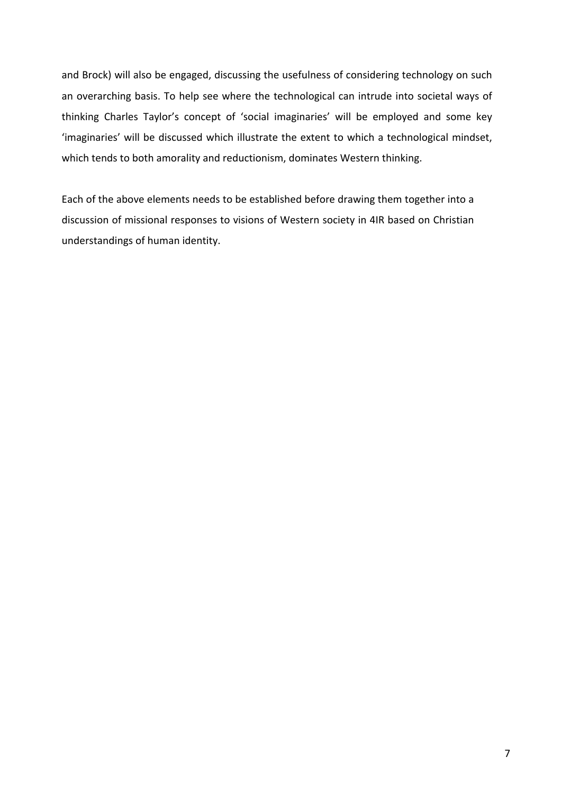and Brock) will also be engaged, discussing the usefulness of considering technology on such an overarching basis. To help see where the technological can intrude into societal ways of thinking Charles Taylor's concept of 'social imaginaries' will be employed and some key 'imaginaries' will be discussed which illustrate the extent to which a technological mindset, which tends to both amorality and reductionism, dominates Western thinking.

Each of the above elements needs to be established before drawing them together into a discussion of missional responses to visions of Western society in 4IR based on Christian understandings of human identity.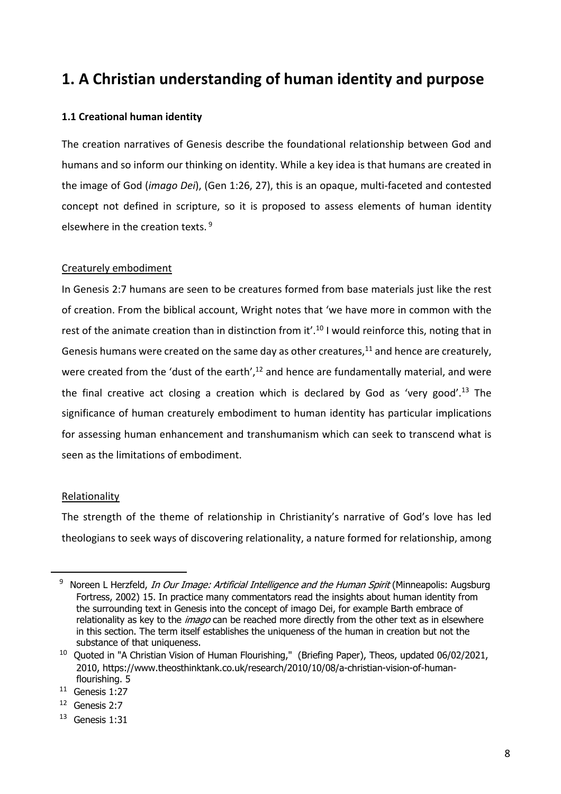# **1. A Christian understanding of human identity and purpose**

# **1.1 Creational human identity**

The creation narratives of Genesis describe the foundational relationship between God and humans and so inform our thinking on identity. While a key idea is that humans are created in the image of God (*imago Dei*), (Gen 1:26, 27), this is an opaque, multi-faceted and contested concept not defined in scripture, so it is proposed to assess elements of human identity elsewhere in the creation texts. <sup>9</sup>

### Creaturely embodiment

In Genesis 2:7 humans are seen to be creatures formed from base materials just like the rest of creation. From the biblical account, Wright notes that 'we have more in common with the rest of the animate creation than in distinction from it'.<sup>10</sup> I would reinforce this, noting that in Genesis humans were created on the same day as other creatures, $11$  and hence are creaturely, were created from the 'dust of the earth', $12$  and hence are fundamentally material, and were the final creative act closing a creation which is declared by God as 'very good'.<sup>13</sup> The significance of human creaturely embodiment to human identity has particular implications for assessing human enhancement and transhumanism which can seek to transcend what is seen as the limitations of embodiment.

#### Relationality

The strength of the theme of relationship in Christianity's narrative of God's love has led theologians to seek ways of discovering relationality, a nature formed for relationship, among

<sup>&</sup>lt;sup>9</sup> Noreen L Herzfeld, *In Our Image: Artificial Intelligence and the Human Spirit* (Minneapolis: Augsburg Fortress, 2002) 15. In practice many commentators read the insights about human identity from the surrounding text in Genesis into the concept of imago Dei, for example Barth embrace of relationality as key to the *imago* can be reached more directly from the other text as in elsewhere in this section. The term itself establishes the uniqueness of the human in creation but not the substance of that uniqueness.

<sup>&</sup>lt;sup>10</sup> Ouoted in "A Christian Vision of Human Flourishing," (Briefing Paper), Theos, updated 06/02/2021, 2010, https://www.theosthinktank.co.uk/research/2010/10/08/a-christian-vision-of-humanflourishing. 5

<sup>11</sup> Genesis 1:27

<sup>12</sup> Genesis 2:7

<sup>13</sup> Genesis 1:31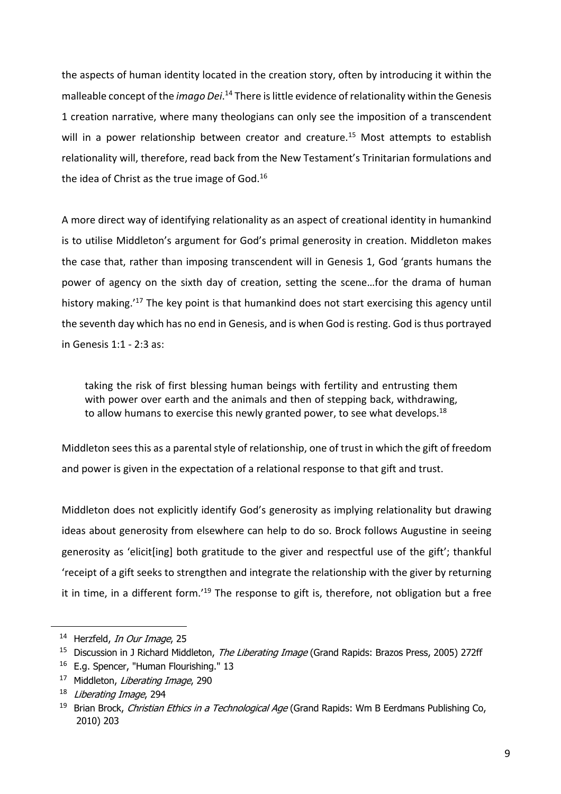the aspects of human identity located in the creation story, often by introducing it within the malleable concept of the *imago Dei*.<sup>14</sup> There is little evidence of relationality within the Genesis 1 creation narrative, where many theologians can only see the imposition of a transcendent will in a power relationship between creator and creature.<sup>15</sup> Most attempts to establish relationality will, therefore, read back from the New Testament's Trinitarian formulations and the idea of Christ as the true image of God.<sup>16</sup>

A more direct way of identifying relationality as an aspect of creational identity in humankind is to utilise Middleton's argument for God's primal generosity in creation. Middleton makes the case that, rather than imposing transcendent will in Genesis 1, God 'grants humans the power of agency on the sixth day of creation, setting the scene…for the drama of human history making.<sup>'17</sup> The key point is that humankind does not start exercising this agency until the seventh day which has no end in Genesis, and is when God is resting. God is thus portrayed in Genesis 1:1 - 2:3 as:

taking the risk of first blessing human beings with fertility and entrusting them with power over earth and the animals and then of stepping back, withdrawing, to allow humans to exercise this newly granted power, to see what develops.<sup>18</sup>

Middleton sees this as a parental style of relationship, one of trust in which the gift of freedom and power is given in the expectation of a relational response to that gift and trust.

Middleton does not explicitly identify God's generosity as implying relationality but drawing ideas about generosity from elsewhere can help to do so. Brock follows Augustine in seeing generosity as 'elicit[ing] both gratitude to the giver and respectful use of the gift'; thankful 'receipt of a gift seeks to strengthen and integrate the relationship with the giver by returning it in time, in a different form.<sup>'19</sup> The response to gift is, therefore, not obligation but a free

<sup>&</sup>lt;sup>14</sup> Herzfeld, *In Our Image*, 25

<sup>&</sup>lt;sup>15</sup> Discussion in J Richard Middleton, The Liberating Image (Grand Rapids: Brazos Press, 2005) 272ff

<sup>&</sup>lt;sup>16</sup> E.g. Spencer, "Human Flourishing." 13

<sup>&</sup>lt;sup>17</sup> Middleton, Liberating Image, 290

<sup>&</sup>lt;sup>18</sup> Liberating Image, 294

<sup>&</sup>lt;sup>19</sup> Brian Brock, Christian Ethics in a Technological Age (Grand Rapids: Wm B Eerdmans Publishing Co, 2010) 203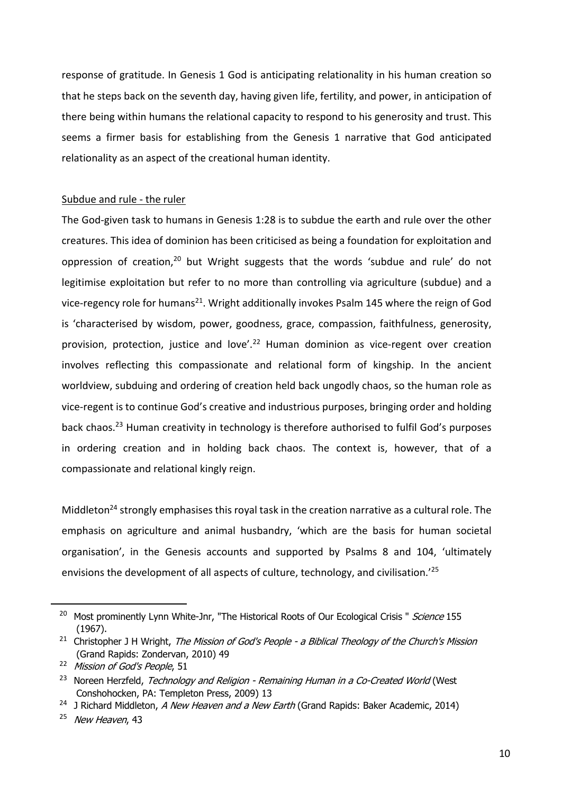response of gratitude. In Genesis 1 God is anticipating relationality in his human creation so that he steps back on the seventh day, having given life, fertility, and power, in anticipation of there being within humans the relational capacity to respond to his generosity and trust. This seems a firmer basis for establishing from the Genesis 1 narrative that God anticipated relationality as an aspect of the creational human identity.

#### Subdue and rule - the ruler

The God-given task to humans in Genesis 1:28 is to subdue the earth and rule over the other creatures. This idea of dominion has been criticised as being a foundation for exploitation and oppression of creation,<sup>20</sup> but Wright suggests that the words 'subdue and rule' do not legitimise exploitation but refer to no more than controlling via agriculture (subdue) and a vice-regency role for humans<sup>21</sup>. Wright additionally invokes Psalm 145 where the reign of God is 'characterised by wisdom, power, goodness, grace, compassion, faithfulness, generosity, provision, protection, justice and love'.<sup>22</sup> Human dominion as vice-regent over creation involves reflecting this compassionate and relational form of kingship. In the ancient worldview, subduing and ordering of creation held back ungodly chaos, so the human role as vice-regent is to continue God's creative and industrious purposes, bringing order and holding back chaos.<sup>23</sup> Human creativity in technology is therefore authorised to fulfil God's purposes in ordering creation and in holding back chaos. The context is, however, that of a compassionate and relational kingly reign.

Middleton<sup>24</sup> strongly emphasises this royal task in the creation narrative as a cultural role. The emphasis on agriculture and animal husbandry, 'which are the basis for human societal organisation', in the Genesis accounts and supported by Psalms 8 and 104, 'ultimately envisions the development of all aspects of culture, technology, and civilisation.'25

<sup>&</sup>lt;sup>20</sup> Most prominently Lynn White-Jnr, "The Historical Roots of Our Ecological Crisis " Science 155 (1967).

<sup>&</sup>lt;sup>21</sup> Christopher J H Wright, The Mission of God's People - a Biblical Theology of the Church's Mission (Grand Rapids: Zondervan, 2010) 49

<sup>&</sup>lt;sup>22</sup> Mission of God's People, 51

<sup>&</sup>lt;sup>23</sup> Noreen Herzfeld, Technology and Religion - Remaining Human in a Co-Created World (West Conshohocken, PA: Templeton Press, 2009) 13

<sup>&</sup>lt;sup>24</sup> J Richard Middleton, A New Heaven and a New Earth (Grand Rapids: Baker Academic, 2014)

<sup>&</sup>lt;sup>25</sup> New Heaven, 43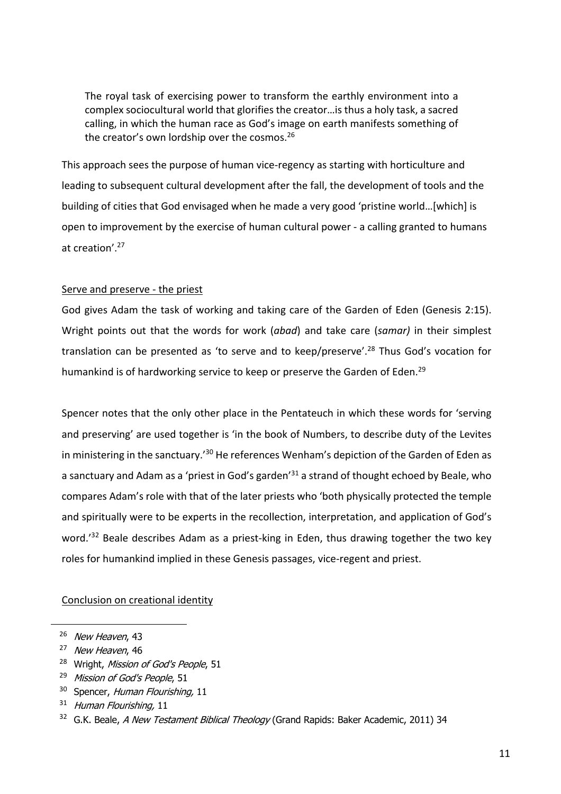The royal task of exercising power to transform the earthly environment into a complex sociocultural world that glorifies the creator…is thus a holy task, a sacred calling, in which the human race as God's image on earth manifests something of the creator's own lordship over the cosmos.<sup>26</sup>

This approach sees the purpose of human vice-regency as starting with horticulture and leading to subsequent cultural development after the fall, the development of tools and the building of cities that God envisaged when he made a very good 'pristine world…[which] is open to improvement by the exercise of human cultural power - a calling granted to humans at creation'.27

#### Serve and preserve - the priest

God gives Adam the task of working and taking care of the Garden of Eden (Genesis 2:15). Wright points out that the words for work (*abad*) and take care (*samar)* in their simplest translation can be presented as 'to serve and to keep/preserve'.<sup>28</sup> Thus God's vocation for humankind is of hardworking service to keep or preserve the Garden of Eden.<sup>29</sup>

Spencer notes that the only other place in the Pentateuch in which these words for 'serving and preserving' are used together is 'in the book of Numbers, to describe duty of the Levites in ministering in the sanctuary.<sup>'30</sup> He references Wenham's depiction of the Garden of Eden as a sanctuary and Adam as a 'priest in God's garden<sup>'31</sup> a strand of thought echoed by Beale, who compares Adam's role with that of the later priests who 'both physically protected the temple and spiritually were to be experts in the recollection, interpretation, and application of God's word.<sup>'32</sup> Beale describes Adam as a priest-king in Eden, thus drawing together the two key roles for humankind implied in these Genesis passages, vice-regent and priest.

#### Conclusion on creational identity

<sup>&</sup>lt;sup>26</sup> New Heaven, 43

<sup>&</sup>lt;sup>27</sup> New Heaven, 46

<sup>&</sup>lt;sup>28</sup> Wright, Mission of God's People, 51

<sup>&</sup>lt;sup>29</sup> Mission of God's People, 51

<sup>&</sup>lt;sup>30</sup> Spencer, Human Flourishing, 11

 $31$  Human Flourishing, 11

<sup>&</sup>lt;sup>32</sup> G.K. Beale, A New Testament Biblical Theology (Grand Rapids: Baker Academic, 2011) 34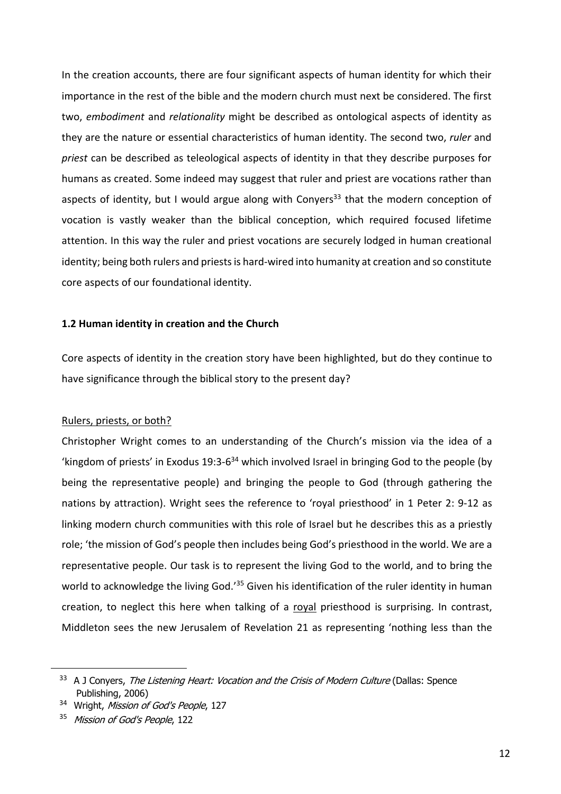In the creation accounts, there are four significant aspects of human identity for which their importance in the rest of the bible and the modern church must next be considered. The first two, *embodiment* and *relationality* might be described as ontological aspects of identity as they are the nature or essential characteristics of human identity. The second two, *ruler* and *priest* can be described as teleological aspects of identity in that they describe purposes for humans as created. Some indeed may suggest that ruler and priest are vocations rather than aspects of identity, but I would argue along with Conyers<sup>33</sup> that the modern conception of vocation is vastly weaker than the biblical conception, which required focused lifetime attention. In this way the ruler and priest vocations are securely lodged in human creational identity; being both rulers and priests is hard-wired into humanity at creation and so constitute core aspects of our foundational identity.

#### **1.2 Human identity in creation and the Church**

Core aspects of identity in the creation story have been highlighted, but do they continue to have significance through the biblical story to the present day?

#### Rulers, priests, or both?

Christopher Wright comes to an understanding of the Church's mission via the idea of a 'kingdom of priests' in Exodus 19:3- $6^{34}$  which involved Israel in bringing God to the people (by being the representative people) and bringing the people to God (through gathering the nations by attraction). Wright sees the reference to 'royal priesthood' in 1 Peter 2: 9-12 as linking modern church communities with this role of Israel but he describes this as a priestly role; 'the mission of God's people then includes being God's priesthood in the world. We are a representative people. Our task is to represent the living God to the world, and to bring the world to acknowledge the living God.<sup>'35</sup> Given his identification of the ruler identity in human creation, to neglect this here when talking of a royal priesthood is surprising. In contrast, Middleton sees the new Jerusalem of Revelation 21 as representing 'nothing less than the

<sup>&</sup>lt;sup>33</sup> A J Conyers, The Listening Heart: Vocation and the Crisis of Modern Culture (Dallas: Spence Publishing, 2006)

<sup>&</sup>lt;sup>34</sup> Wright, Mission of God's People, 127

<sup>&</sup>lt;sup>35</sup> Mission of God's People, 122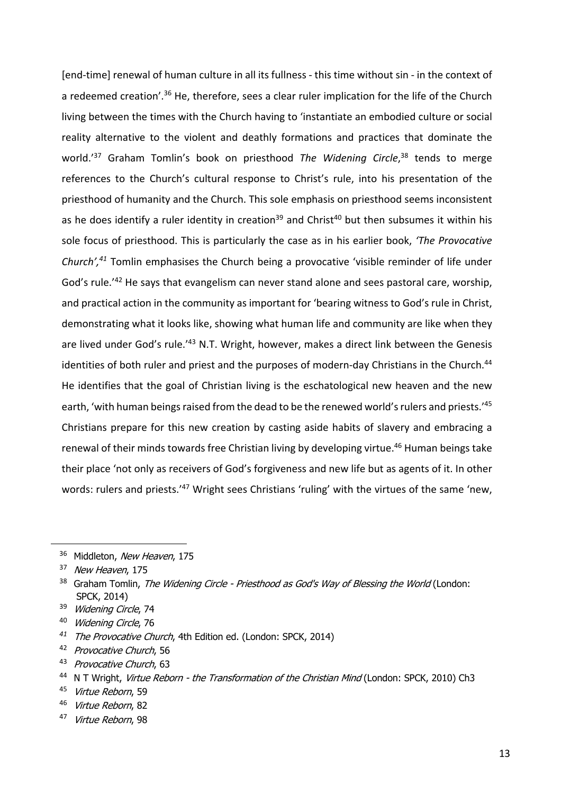[end-time] renewal of human culture in all its fullness - this time without sin - in the context of a redeemed creation'.<sup>36</sup> He, therefore, sees a clear ruler implication for the life of the Church living between the times with the Church having to 'instantiate an embodied culture or social reality alternative to the violent and deathly formations and practices that dominate the world.<sup>'37</sup> Graham Tomlin's book on priesthood The Widening Circle,<sup>38</sup> tends to merge references to the Church's cultural response to Christ's rule, into his presentation of the priesthood of humanity and the Church. This sole emphasis on priesthood seems inconsistent as he does identify a ruler identity in creation<sup>39</sup> and Christ<sup>40</sup> but then subsumes it within his sole focus of priesthood. This is particularly the case as in his earlier book, *'The Provocative Church',41* Tomlin emphasises the Church being a provocative 'visible reminder of life under God's rule.<sup>'42</sup> He says that evangelism can never stand alone and sees pastoral care, worship, and practical action in the community as important for 'bearing witness to God's rule in Christ, demonstrating what it looks like, showing what human life and community are like when they are lived under God's rule.'43 N.T. Wright, however, makes a direct link between the Genesis identities of both ruler and priest and the purposes of modern-day Christians in the Church.<sup>44</sup> He identifies that the goal of Christian living is the eschatological new heaven and the new earth, 'with human beings raised from the dead to be the renewed world's rulers and priests.'45 Christians prepare for this new creation by casting aside habits of slavery and embracing a renewal of their minds towards free Christian living by developing virtue.<sup>46</sup> Human beings take their place 'not only as receivers of God's forgiveness and new life but as agents of it. In other words: rulers and priests.<sup>'47</sup> Wright sees Christians 'ruling' with the virtues of the same 'new,

<sup>&</sup>lt;sup>36</sup> Middleton, New Heaven, 175

<sup>&</sup>lt;sup>37</sup> New Heaven, 175

<sup>&</sup>lt;sup>38</sup> Graham Tomlin, The Widening Circle - Priesthood as God's Way of Blessing the World (London: SPCK, 2014)

<sup>39</sup> Widening Circle, 74

<sup>40</sup> Widening Circle, 76

*<sup>41</sup>* The Provocative Church, 4th Edition ed. (London: SPCK, 2014)

<sup>42</sup> Provocative Church, 56

<sup>43</sup> Provocative Church, 63

<sup>&</sup>lt;sup>44</sup> N T Wright, Virtue Reborn - the Transformation of the Christian Mind (London: SPCK, 2010) Ch3

<sup>45</sup> Virtue Reborn, 59

<sup>46</sup> Virtue Reborn, 82

<sup>47</sup> Virtue Reborn, 98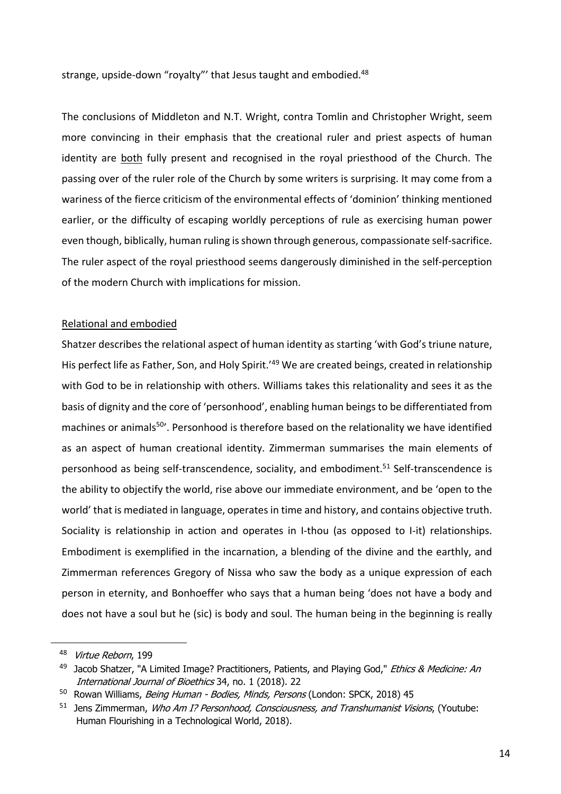strange, upside-down "royalty" that Jesus taught and embodied.<sup>48</sup>

The conclusions of Middleton and N.T. Wright, contra Tomlin and Christopher Wright, seem more convincing in their emphasis that the creational ruler and priest aspects of human identity are both fully present and recognised in the royal priesthood of the Church. The passing over of the ruler role of the Church by some writers is surprising. It may come from a wariness of the fierce criticism of the environmental effects of 'dominion' thinking mentioned earlier, or the difficulty of escaping worldly perceptions of rule as exercising human power even though, biblically, human ruling is shown through generous, compassionate self-sacrifice. The ruler aspect of the royal priesthood seems dangerously diminished in the self-perception of the modern Church with implications for mission.

#### Relational and embodied

Shatzer describes the relational aspect of human identity as starting 'with God's triune nature, His perfect life as Father, Son, and Holy Spirit.'<sup>49</sup> We are created beings, created in relationship with God to be in relationship with others. Williams takes this relationality and sees it as the basis of dignity and the core of 'personhood', enabling human beings to be differentiated from machines or animals<sup>50</sup>'. Personhood is therefore based on the relationality we have identified as an aspect of human creational identity. Zimmerman summarises the main elements of personhood as being self-transcendence, sociality, and embodiment.<sup>51</sup> Self-transcendence is the ability to objectify the world, rise above our immediate environment, and be 'open to the world' that is mediated in language, operates in time and history, and contains objective truth. Sociality is relationship in action and operates in I-thou (as opposed to I-it) relationships. Embodiment is exemplified in the incarnation, a blending of the divine and the earthly, and Zimmerman references Gregory of Nissa who saw the body as a unique expression of each person in eternity, and Bonhoeffer who says that a human being 'does not have a body and does not have a soul but he (sic) is body and soul. The human being in the beginning is really

<sup>48</sup> Virtue Reborn, 199

<sup>49</sup> Jacob Shatzer, "A Limited Image? Practitioners, Patients, and Playing God," Ethics & Medicine: An International Journal of Bioethics 34, no. 1 (2018). 22

<sup>&</sup>lt;sup>50</sup> Rowan Williams, *Being Human - Bodies, Minds, Persons* (London: SPCK, 2018) 45

<sup>&</sup>lt;sup>51</sup> Jens Zimmerman, Who Am I? Personhood, Consciousness, and Transhumanist Visions, (Youtube: Human Flourishing in a Technological World, 2018).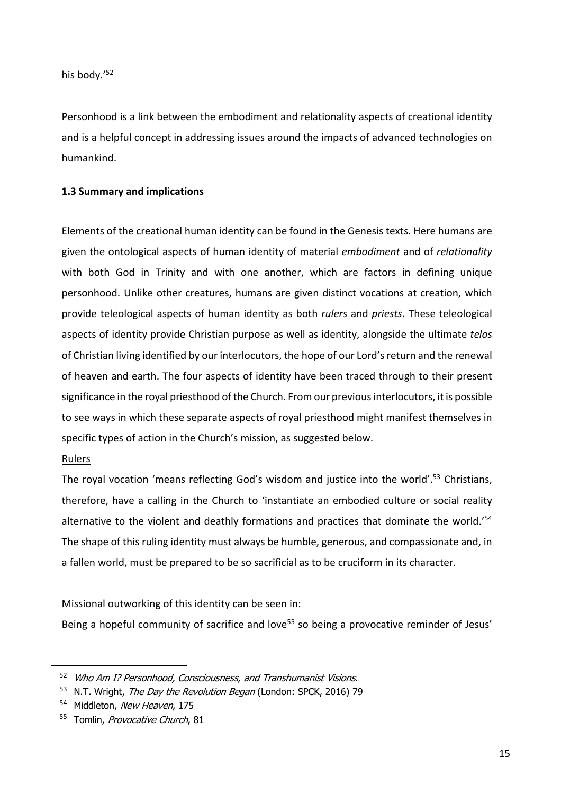his body.'52

Personhood is a link between the embodiment and relationality aspects of creational identity and is a helpful concept in addressing issues around the impacts of advanced technologies on humankind.

### **1.3 Summary and implications**

Elements of the creational human identity can be found in the Genesis texts. Here humans are given the ontological aspects of human identity of material *embodiment* and of *relationality* with both God in Trinity and with one another, which are factors in defining unique personhood. Unlike other creatures, humans are given distinct vocations at creation, which provide teleological aspects of human identity as both *rulers* and *priests*. These teleological aspects of identity provide Christian purpose as well as identity, alongside the ultimate *telos* of Christian living identified by our interlocutors, the hope of our Lord's return and the renewal of heaven and earth. The four aspects of identity have been traced through to their present significance in the royal priesthood of the Church. From our previous interlocutors, it is possible to see ways in which these separate aspects of royal priesthood might manifest themselves in specific types of action in the Church's mission, as suggested below.

#### Rulers

The royal vocation 'means reflecting God's wisdom and justice into the world'.<sup>53</sup> Christians, therefore, have a calling in the Church to 'instantiate an embodied culture or social reality alternative to the violent and deathly formations and practices that dominate the world.<sup>'54</sup> The shape of this ruling identity must always be humble, generous, and compassionate and, in a fallen world, must be prepared to be so sacrificial as to be cruciform in its character.

Missional outworking of this identity can be seen in:

Being a hopeful community of sacrifice and love<sup>55</sup> so being a provocative reminder of Jesus'

<sup>52</sup> Who Am I? Personhood, Consciousness, and Transhumanist Visions.

<sup>53</sup> N.T. Wright, The Day the Revolution Began (London: SPCK, 2016) 79

<sup>&</sup>lt;sup>54</sup> Middleton, New Heaven, 175

<sup>55</sup> Tomlin, Provocative Church, 81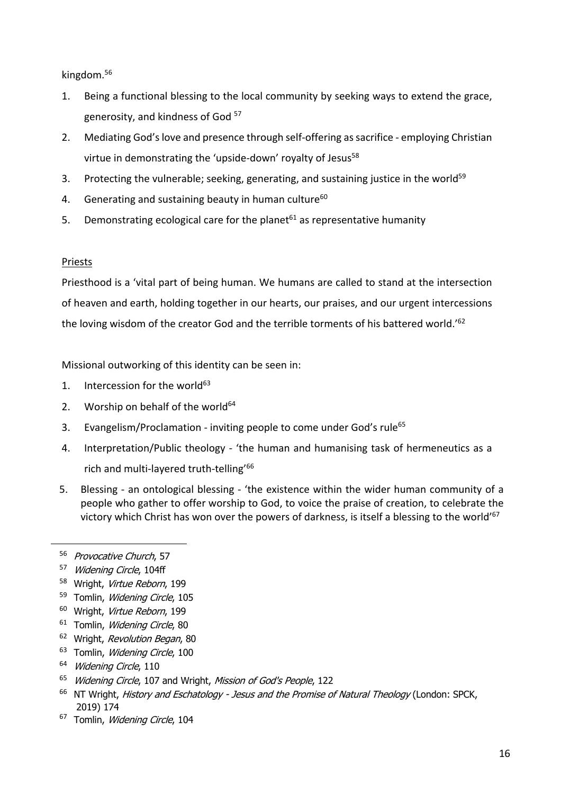kingdom.56

- 1. Being a functional blessing to the local community by seeking ways to extend the grace, generosity, and kindness of God<sup>57</sup>
- 2. Mediating God's love and presence through self-offering as sacrifice employing Christian virtue in demonstrating the 'upside-down' royalty of Jesus<sup>58</sup>
- 3. Protecting the vulnerable; seeking, generating, and sustaining justice in the world<sup>59</sup>
- 4. Generating and sustaining beauty in human culture $60$
- 5. Demonstrating ecological care for the planet $61$  as representative humanity

### Priests

Priesthood is a 'vital part of being human. We humans are called to stand at the intersection of heaven and earth, holding together in our hearts, our praises, and our urgent intercessions the loving wisdom of the creator God and the terrible torments of his battered world.<sup>'62</sup>

Missional outworking of this identity can be seen in:

- 1. Intercession for the world $63$
- 2. Worship on behalf of the world $64$
- 3. Evangelism/Proclamation inviting people to come under God's rule<sup>65</sup>
- 4. Interpretation/Public theology 'the human and humanising task of hermeneutics as a rich and multi-layered truth-telling'66
- 5. Blessing an ontological blessing 'the existence within the wider human community of a people who gather to offer worship to God, to voice the praise of creation, to celebrate the victory which Christ has won over the powers of darkness, is itself a blessing to the world'<sup>67</sup>
- 56 Provocative Church, 57
- 57 Widening Circle, 104ff
- 58 Wright, Virtue Reborn, 199
- 59 Tomlin, Widening Circle, 105
- <sup>60</sup> Wright, Virtue Reborn, 199
- <sup>61</sup> Tomlin, *Widening Circle*, 80
- <sup>62</sup> Wright, Revolution Began, 80
- <sup>63</sup> Tomlin, Widening Circle, 100
- <sup>64</sup> Widening Circle, 110
- <sup>65</sup> Widening Circle, 107 and Wright, Mission of God's People, 122
- $66$  NT Wright, History and Eschatology Jesus and the Promise of Natural Theology (London: SPCK, 2019) 174
- <sup>67</sup> Tomlin, Widening Circle, 104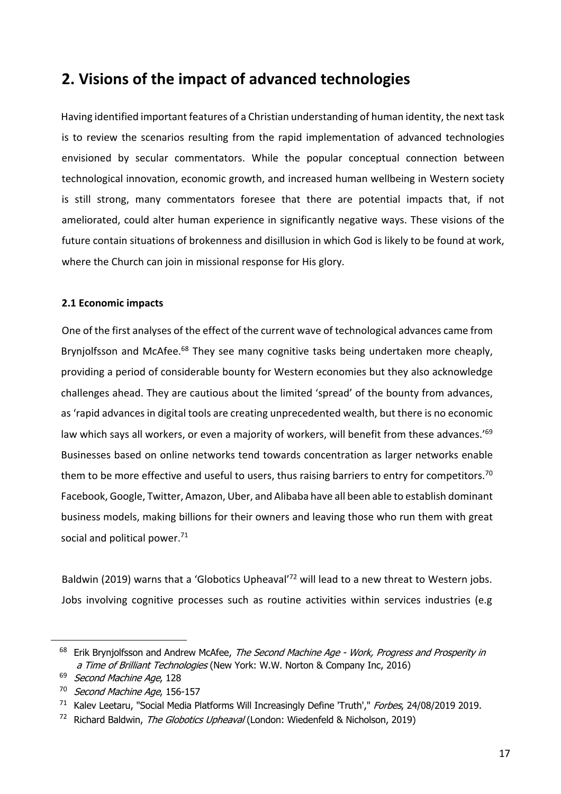# **2. Visions of the impact of advanced technologies**

Having identified important features of a Christian understanding of human identity, the next task is to review the scenarios resulting from the rapid implementation of advanced technologies envisioned by secular commentators. While the popular conceptual connection between technological innovation, economic growth, and increased human wellbeing in Western society is still strong, many commentators foresee that there are potential impacts that, if not ameliorated, could alter human experience in significantly negative ways. These visions of the future contain situations of brokenness and disillusion in which God is likely to be found at work, where the Church can join in missional response for His glory.

# **2.1 Economic impacts**

One of the first analyses of the effect of the current wave of technological advances came from Brynjolfsson and McAfee.<sup>68</sup> They see many cognitive tasks being undertaken more cheaply, providing a period of considerable bounty for Western economies but they also acknowledge challenges ahead. They are cautious about the limited 'spread' of the bounty from advances, as 'rapid advances in digital tools are creating unprecedented wealth, but there is no economic law which says all workers, or even a majority of workers, will benefit from these advances.<sup>'69</sup> Businesses based on online networks tend towards concentration as larger networks enable them to be more effective and useful to users, thus raising barriers to entry for competitors.<sup>70</sup> Facebook, Google, Twitter, Amazon, Uber, and Alibaba have all been able to establish dominant business models, making billions for their owners and leaving those who run them with great social and political power.<sup>71</sup>

Baldwin (2019) warns that a 'Globotics Upheaval<sup>'72</sup> will lead to a new threat to Western jobs. Jobs involving cognitive processes such as routine activities within services industries (e.g

<sup>&</sup>lt;sup>68</sup> Erik Bryniolfsson and Andrew McAfee, The Second Machine Age - Work, Progress and Prosperity in a Time of Brilliant Technologies (New York: W.W. Norton & Company Inc, 2016)

<sup>&</sup>lt;sup>69</sup> Second Machine Age, 128

<sup>&</sup>lt;sup>70</sup> Second Machine Age, 156-157

<sup>&</sup>lt;sup>71</sup> Kalev Leetaru, "Social Media Platforms Will Increasingly Define 'Truth'," Forbes, 24/08/2019 2019.

<sup>&</sup>lt;sup>72</sup> Richard Baldwin, The Globotics Upheaval (London: Wiedenfeld & Nicholson, 2019)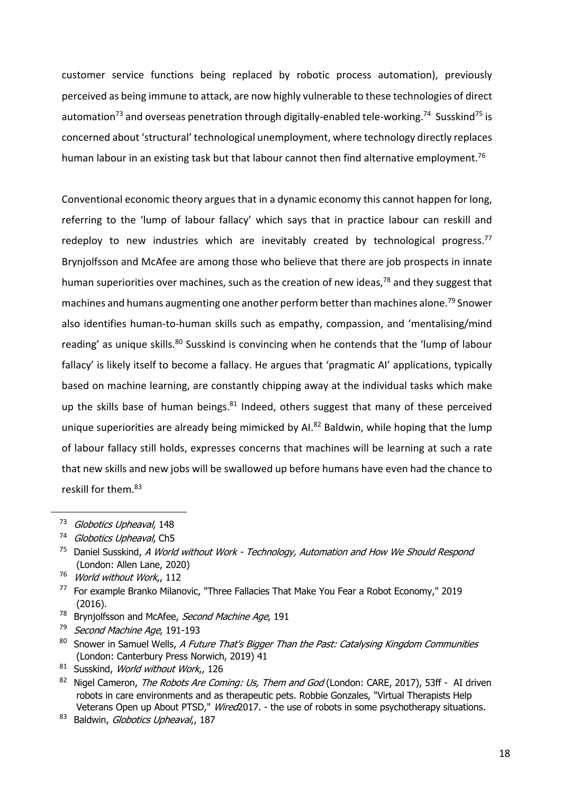customer service functions being replaced by robotic process automation), previously perceived as being immune to attack, are now highly vulnerable to these technologies of direct automation<sup>73</sup> and overseas penetration through digitally-enabled tele-working.<sup>74</sup> Susskind<sup>75</sup> is concerned about 'structural' technological unemployment, where technology directly replaces human labour in an existing task but that labour cannot then find alternative employment.<sup>76</sup>

Conventional economic theory argues that in a dynamic economy this cannot happen for long, referring to the 'lump of labour fallacy' which says that in practice labour can reskill and redeploy to new industries which are inevitably created by technological progress.<sup>77</sup> Brynjolfsson and McAfee are among those who believe that there are job prospects in innate human superiorities over machines, such as the creation of new ideas,<sup>78</sup> and they suggest that machines and humans augmenting one another perform better than machines alone.<sup>79</sup> Snower also identifies human-to-human skills such as empathy, compassion, and 'mentalising/mind reading' as unique skills.<sup>80</sup> Susskind is convincing when he contends that the 'lump of labour fallacy' is likely itself to become a fallacy. He argues that 'pragmatic AI' applications, typically based on machine learning, are constantly chipping away at the individual tasks which make up the skills base of human beings. $81$  Indeed, others suggest that many of these perceived unique superiorities are already being mimicked by AI.<sup>82</sup> Baldwin, while hoping that the lump of labour fallacy still holds, expresses concerns that machines will be learning at such a rate that new skills and new jobs will be swallowed up before humans have even had the chance to reskill for them.<sup>83</sup>

- <sup>78</sup> Brynjolfsson and McAfee, Second Machine Age, 191
- <sup>79</sup> Second Machine Age, 191-193
- $80$  Snower in Samuel Wells, A Future That's Bigger Than the Past: Catalysing Kingdom Communities (London: Canterbury Press Norwich, 2019) 41

<sup>&</sup>lt;sup>73</sup> Globotics Upheaval, 148

<sup>&</sup>lt;sup>74</sup> Globotics Upheaval, Ch5

 $75$  Daniel Susskind, A World without Work - Technology, Automation and How We Should Respond (London: Allen Lane, 2020)

<sup>&</sup>lt;sup>76</sup> World without Work, 112

<sup>77</sup> For example Branko Milanovic, "Three Fallacies That Make You Fear a Robot Economy," 2019 (2016).

<sup>81</sup> Susskind, World without Work, 126

<sup>&</sup>lt;sup>82</sup> Nigel Cameron, *The Robots Are Coming: Us, Them and God* (London: CARE, 2017), 53ff - AI driven robots in care environments and as therapeutic pets. Robbie Gonzales, "Virtual Therapists Help Veterans Open up About PTSD," Wired2017. - the use of robots in some psychotherapy situations.

<sup>83</sup> Baldwin, Globotics Upheaval, 187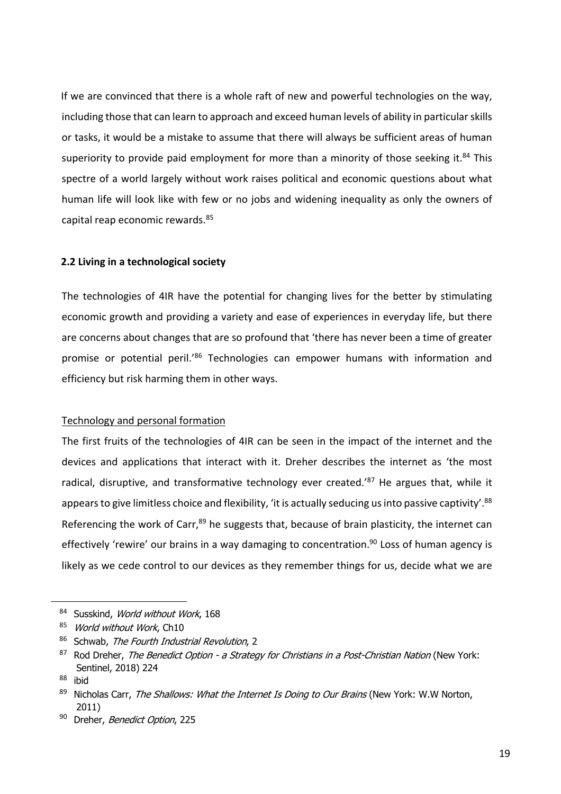If we are convinced that there is a whole raft of new and powerful technologies on the way, including those that can learn to approach and exceed human levels of ability in particular skills or tasks, it would be a mistake to assume that there will always be sufficient areas of human superiority to provide paid employment for more than a minority of those seeking it. $84$  This spectre of a world largely without work raises political and economic questions about what human life will look like with few or no jobs and widening inequality as only the owners of capital reap economic rewards.85

#### **2.2 Living in a technological society**

The technologies of 4IR have the potential for changing lives for the better by stimulating economic growth and providing a variety and ease of experiences in everyday life, but there are concerns about changes that are so profound that 'there has never been a time of greater promise or potential peril.'86 Technologies can empower humans with information and efficiency but risk harming them in other ways.

#### Technology and personal formation

The first fruits of the technologies of 4IR can be seen in the impact of the internet and the devices and applications that interact with it. Dreher describes the internet as 'the most radical, disruptive, and transformative technology ever created.<sup>'87</sup> He argues that, while it appears to give limitless choice and flexibility, 'it is actually seducing us into passive captivity'.<sup>88</sup> Referencing the work of Carr, $89$  he suggests that, because of brain plasticity, the internet can effectively 'rewire' our brains in a way damaging to concentration.<sup>90</sup> Loss of human agency is likely as we cede control to our devices as they remember things for us, decide what we are

<sup>84</sup> Susskind, World without Work, 168

<sup>85</sup> World without Work, Ch10

<sup>86</sup> Schwab, The Fourth Industrial Revolution, 2

 $87$  Rod Dreher, The Benedict Option - a Strategy for Christians in a Post-Christian Nation (New York: Sentinel, 2018) 224

<sup>88</sup> ibid

 $89$  Nicholas Carr, The Shallows: What the Internet Is Doing to Our Brains (New York: W.W Norton, 2011)

<sup>90</sup> Dreher, Benedict Option, 225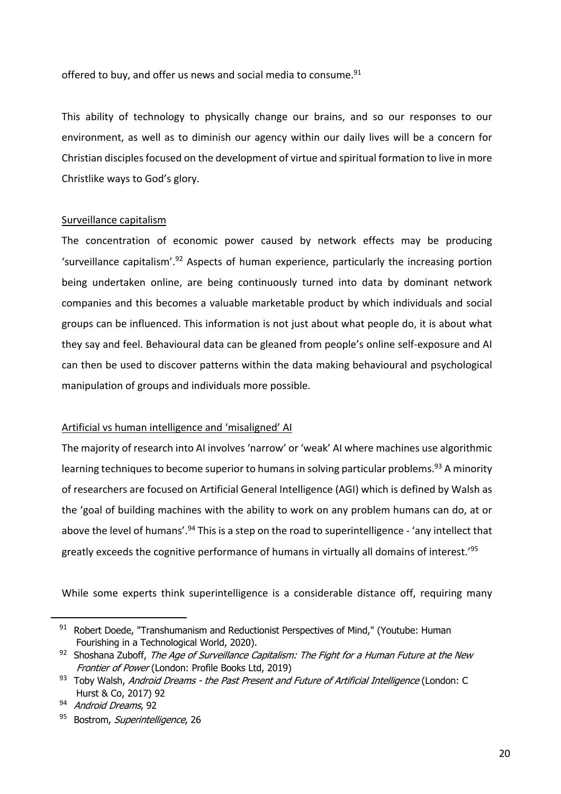offered to buy, and offer us news and social media to consume.<sup>91</sup>

This ability of technology to physically change our brains, and so our responses to our environment, as well as to diminish our agency within our daily lives will be a concern for Christian disciples focused on the development of virtue and spiritual formation to live in more Christlike ways to God's glory.

#### Surveillance capitalism

The concentration of economic power caused by network effects may be producing 'surveillance capitalism'.<sup>92</sup> Aspects of human experience, particularly the increasing portion being undertaken online, are being continuously turned into data by dominant network companies and this becomes a valuable marketable product by which individuals and social groups can be influenced. This information is not just about what people do, it is about what they say and feel. Behavioural data can be gleaned from people's online self-exposure and AI can then be used to discover patterns within the data making behavioural and psychological manipulation of groups and individuals more possible.

#### Artificial vs human intelligence and 'misaligned' AI

The majority of research into AI involves 'narrow' or 'weak' AI where machines use algorithmic learning techniques to become superior to humans in solving particular problems.<sup>93</sup> A minority of researchers are focused on Artificial General Intelligence (AGI) which is defined by Walsh as the 'goal of building machines with the ability to work on any problem humans can do, at or above the level of humans'.<sup>94</sup> This is a step on the road to superintelligence - 'any intellect that greatly exceeds the cognitive performance of humans in virtually all domains of interest.'95

While some experts think superintelligence is a considerable distance off, requiring many

<sup>91</sup> Robert Doede, "Transhumanism and Reductionist Perspectives of Mind," (Youtube: Human Fourishing in a Technological World, 2020).

 $92$  Shoshana Zuboff, The Age of Surveillance Capitalism: The Fight for a Human Future at the New Frontier of Power (London: Profile Books Ltd, 2019)

<sup>93</sup> Toby Walsh, Android Dreams - the Past Present and Future of Artificial Intelligence (London: C Hurst & Co, 2017) 92

<sup>94</sup> Android Dreams, 92

<sup>95</sup> Bostrom, Superintelligence, 26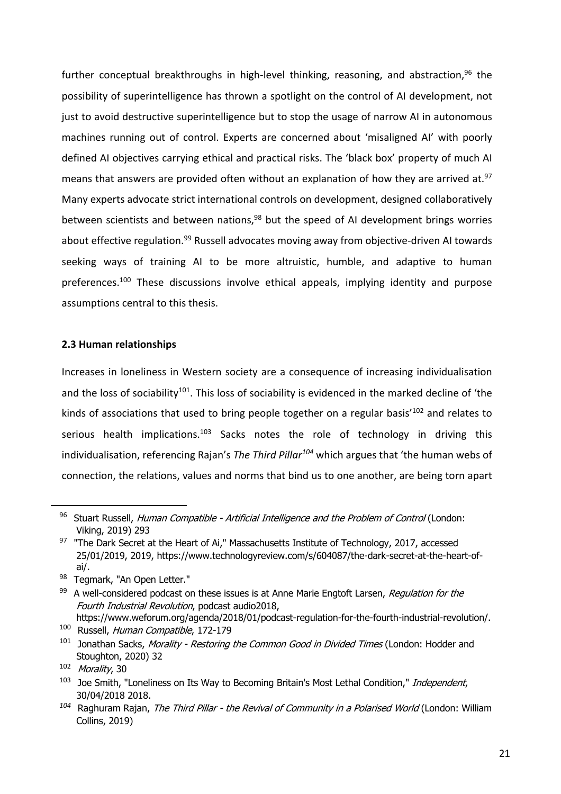further conceptual breakthroughs in high-level thinking, reasoning, and abstraction,  $96$  the possibility of superintelligence has thrown a spotlight on the control of AI development, not just to avoid destructive superintelligence but to stop the usage of narrow AI in autonomous machines running out of control. Experts are concerned about 'misaligned AI' with poorly defined AI objectives carrying ethical and practical risks. The 'black box' property of much AI means that answers are provided often without an explanation of how they are arrived at. $97$ Many experts advocate strict international controls on development, designed collaboratively between scientists and between nations,  $98$  but the speed of AI development brings worries about effective regulation.<sup>99</sup> Russell advocates moving away from objective-driven AI towards seeking ways of training AI to be more altruistic, humble, and adaptive to human preferences.<sup>100</sup> These discussions involve ethical appeals, implying identity and purpose assumptions central to this thesis.

#### **2.3 Human relationships**

Increases in loneliness in Western society are a consequence of increasing individualisation and the loss of sociability<sup>101</sup>. This loss of sociability is evidenced in the marked decline of 'the kinds of associations that used to bring people together on a regular basis<sup>'102</sup> and relates to serious health implications.<sup>103</sup> Sacks notes the role of technology in driving this individualisation, referencing Rajan's *The Third Pillar104* which argues that 'the human webs of connection, the relations, values and norms that bind us to one another, are being torn apart

<sup>96</sup> Stuart Russell, Human Compatible - Artificial Intelligence and the Problem of Control (London: Viking, 2019) 293

<sup>&</sup>lt;sup>97</sup> "The Dark Secret at the Heart of Ai," Massachusetts Institute of Technology, 2017, accessed 25/01/2019, 2019, https://www.technologyreview.com/s/604087/the-dark-secret-at-the-heart-ofai/.

<sup>98</sup> Tegmark, "An Open Letter."

 $99$  A well-considered podcast on these issues is at Anne Marie Engtoft Larsen, Regulation for the Fourth Industrial Revolution, podcast audio2018,

https://www.weforum.org/agenda/2018/01/podcast-regulation-for-the-fourth-industrial-revolution/. <sup>100</sup> Russell, Human Compatible, 172-179

<sup>&</sup>lt;sup>101</sup> Jonathan Sacks, Morality - Restoring the Common Good in Divided Times (London: Hodder and Stoughton, 2020) 32

<sup>102</sup> Morality, 30

<sup>&</sup>lt;sup>103</sup> Joe Smith, "Loneliness on Its Way to Becoming Britain's Most Lethal Condition," Independent, 30/04/2018 2018.

*<sup>104</sup>* Raghuram Rajan, The Third Pillar - the Revival of Community in a Polarised World (London: William Collins, 2019)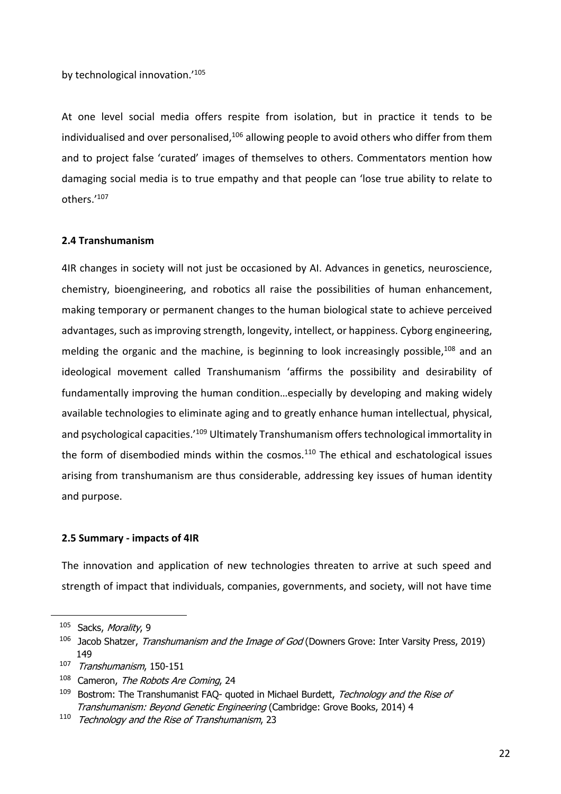by technological innovation.'105

At one level social media offers respite from isolation, but in practice it tends to be individualised and over personalised, $106$  allowing people to avoid others who differ from them and to project false 'curated' images of themselves to others. Commentators mention how damaging social media is to true empathy and that people can 'lose true ability to relate to others.'107

#### **2.4 Transhumanism**

4IR changes in society will not just be occasioned by AI. Advances in genetics, neuroscience, chemistry, bioengineering, and robotics all raise the possibilities of human enhancement, making temporary or permanent changes to the human biological state to achieve perceived advantages, such as improving strength, longevity, intellect, or happiness. Cyborg engineering, melding the organic and the machine, is beginning to look increasingly possible,<sup>108</sup> and an ideological movement called Transhumanism 'affirms the possibility and desirability of fundamentally improving the human condition…especially by developing and making widely available technologies to eliminate aging and to greatly enhance human intellectual, physical, and psychological capacities.<sup>'109</sup> Ultimately Transhumanism offers technological immortality in the form of disembodied minds within the cosmos. $110$  The ethical and eschatological issues arising from transhumanism are thus considerable, addressing key issues of human identity and purpose.

#### **2.5 Summary - impacts of 4IR**

The innovation and application of new technologies threaten to arrive at such speed and strength of impact that individuals, companies, governments, and society, will not have time

<sup>105</sup> Sacks, Morality, 9

<sup>&</sup>lt;sup>106</sup> Jacob Shatzer, *Transhumanism and the Image of God* (Downers Grove: Inter Varsity Press, 2019) 149

<sup>107</sup> Transhumanism, 150-151

<sup>&</sup>lt;sup>108</sup> Cameron, The Robots Are Coming, 24

 $109$  Bostrom: The Transhumanist FAQ- quoted in Michael Burdett, Technology and the Rise of Transhumanism: Beyond Genetic Engineering (Cambridge: Grove Books, 2014) 4

<sup>&</sup>lt;sup>110</sup> Technology and the Rise of Transhumanism, 23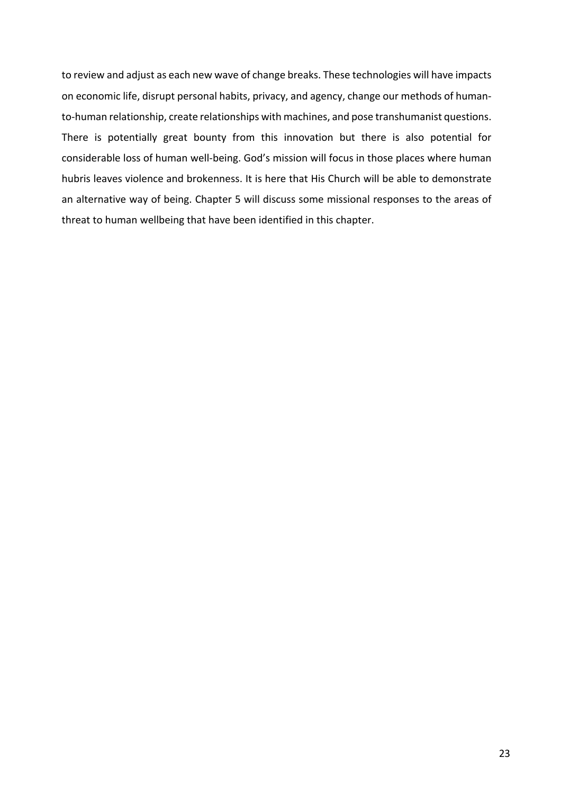to review and adjust as each new wave of change breaks. These technologies will have impacts on economic life, disrupt personal habits, privacy, and agency, change our methods of humanto-human relationship, create relationships with machines, and pose transhumanist questions. There is potentially great bounty from this innovation but there is also potential for considerable loss of human well-being. God's mission will focus in those places where human hubris leaves violence and brokenness. It is here that His Church will be able to demonstrate an alternative way of being. Chapter 5 will discuss some missional responses to the areas of threat to human wellbeing that have been identified in this chapter.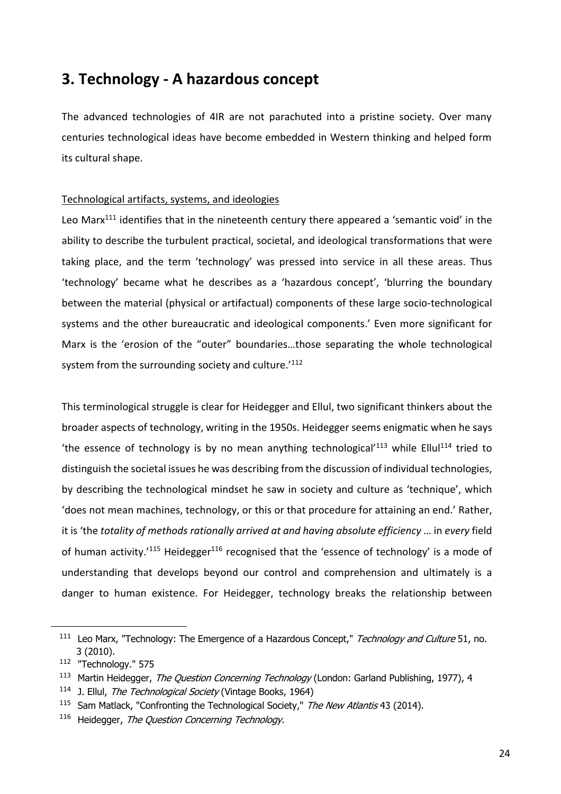# **3. Technology - A hazardous concept**

The advanced technologies of 4IR are not parachuted into a pristine society. Over many centuries technological ideas have become embedded in Western thinking and helped form its cultural shape.

#### Technological artifacts, systems, and ideologies

Leo Marx $111$  identifies that in the nineteenth century there appeared a 'semantic void' in the ability to describe the turbulent practical, societal, and ideological transformations that were taking place, and the term 'technology' was pressed into service in all these areas. Thus 'technology' became what he describes as a 'hazardous concept', 'blurring the boundary between the material (physical or artifactual) components of these large socio-technological systems and the other bureaucratic and ideological components.' Even more significant for Marx is the 'erosion of the "outer" boundaries…those separating the whole technological system from the surrounding society and culture.<sup>'112</sup>

This terminological struggle is clear for Heidegger and Ellul, two significant thinkers about the broader aspects of technology, writing in the 1950s. Heidegger seems enigmatic when he says 'the essence of technology is by no mean anything technological'<sup>113</sup> while Ellul<sup>114</sup> tried to distinguish the societal issues he was describing from the discussion of individual technologies, by describing the technological mindset he saw in society and culture as 'technique', which 'does not mean machines, technology, or this or that procedure for attaining an end.' Rather, it is 'the *totality of methods rationally arrived at and having absolute efficiency* … in *every* field of human activity.<sup>'115</sup> Heidegger<sup>116</sup> recognised that the 'essence of technology' is a mode of understanding that develops beyond our control and comprehension and ultimately is a danger to human existence. For Heidegger, technology breaks the relationship between

<sup>&</sup>lt;sup>111</sup> Leo Marx, "Technology: The Emergence of a Hazardous Concept," Technology and Culture 51, no. 3 (2010).

<sup>112</sup> "Technology." 575

<sup>&</sup>lt;sup>113</sup> Martin Heidegger, The Question Concerning Technology (London: Garland Publishing, 1977), 4

<sup>&</sup>lt;sup>114</sup> J. Ellul, *The Technological Society* (Vintage Books, 1964)

<sup>&</sup>lt;sup>115</sup> Sam Matlack, "Confronting the Technological Society," The New Atlantis 43 (2014).

<sup>116</sup> Heidegger, The Question Concerning Technology.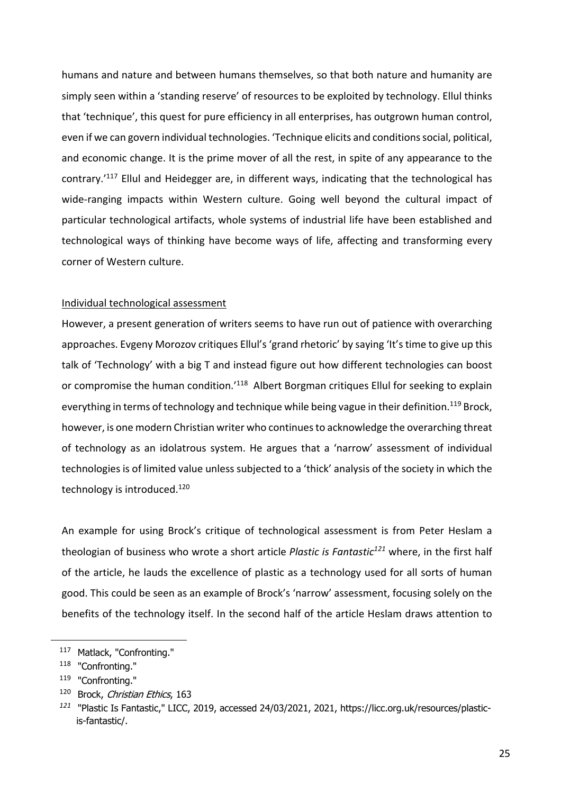humans and nature and between humans themselves, so that both nature and humanity are simply seen within a 'standing reserve' of resources to be exploited by technology. Ellul thinks that 'technique', this quest for pure efficiency in all enterprises, has outgrown human control, even if we can govern individual technologies. 'Technique elicits and conditions social, political, and economic change. It is the prime mover of all the rest, in spite of any appearance to the contrary.'117 Ellul and Heidegger are, in different ways, indicating that the technological has wide-ranging impacts within Western culture. Going well beyond the cultural impact of particular technological artifacts, whole systems of industrial life have been established and technological ways of thinking have become ways of life, affecting and transforming every corner of Western culture.

#### Individual technological assessment

However, a present generation of writers seems to have run out of patience with overarching approaches. Evgeny Morozov critiques Ellul's 'grand rhetoric' by saying 'It's time to give up this talk of 'Technology' with a big T and instead figure out how different technologies can boost or compromise the human condition.'<sup>118</sup> Albert Borgman critiques Ellul for seeking to explain everything in terms of technology and technique while being vague in their definition.<sup>119</sup> Brock, however, is one modern Christian writer who continues to acknowledge the overarching threat of technology as an idolatrous system. He argues that a 'narrow' assessment of individual technologies is of limited value unless subjected to a 'thick' analysis of the society in which the technology is introduced.<sup>120</sup>

An example for using Brock's critique of technological assessment is from Peter Heslam a theologian of business who wrote a short article *Plastic is Fantastic121* where, in the first half of the article, he lauds the excellence of plastic as a technology used for all sorts of human good. This could be seen as an example of Brock's 'narrow' assessment, focusing solely on the benefits of the technology itself. In the second half of the article Heslam draws attention to

<sup>117</sup> Matlack, "Confronting."

<sup>118</sup> "Confronting."

<sup>119</sup> "Confronting."

<sup>&</sup>lt;sup>120</sup> Brock, Christian Ethics, 163

*<sup>121</sup>* "Plastic Is Fantastic," LICC, 2019, accessed 24/03/2021, 2021, https://licc.org.uk/resources/plasticis-fantastic/.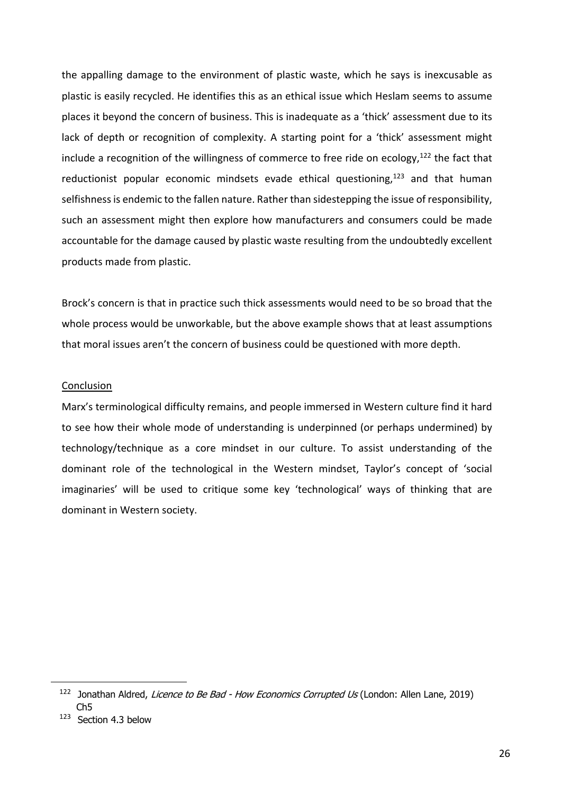the appalling damage to the environment of plastic waste, which he says is inexcusable as plastic is easily recycled. He identifies this as an ethical issue which Heslam seems to assume places it beyond the concern of business. This is inadequate as a 'thick' assessment due to its lack of depth or recognition of complexity. A starting point for a 'thick' assessment might include a recognition of the willingness of commerce to free ride on ecology, $122$  the fact that reductionist popular economic mindsets evade ethical questioning, $123$  and that human selfishness is endemic to the fallen nature. Rather than sidestepping the issue of responsibility, such an assessment might then explore how manufacturers and consumers could be made accountable for the damage caused by plastic waste resulting from the undoubtedly excellent products made from plastic.

Brock's concern is that in practice such thick assessments would need to be so broad that the whole process would be unworkable, but the above example shows that at least assumptions that moral issues aren't the concern of business could be questioned with more depth.

#### Conclusion

Marx's terminological difficulty remains, and people immersed in Western culture find it hard to see how their whole mode of understanding is underpinned (or perhaps undermined) by technology/technique as a core mindset in our culture. To assist understanding of the dominant role of the technological in the Western mindset, Taylor's concept of 'social imaginaries' will be used to critique some key 'technological' ways of thinking that are dominant in Western society.

 $122$  Jonathan Aldred, *Licence to Be Bad - How Economics Corrupted Us* (London: Allen Lane, 2019) Ch5

<sup>123</sup> Section 4.3 below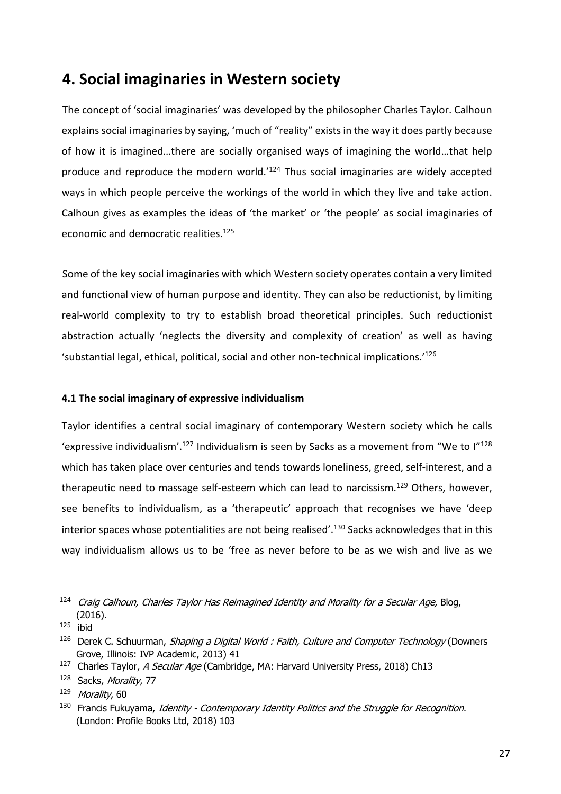# **4. Social imaginaries in Western society**

The concept of 'social imaginaries' was developed by the philosopher Charles Taylor. Calhoun explains social imaginaries by saying, 'much of "reality" exists in the way it does partly because of how it is imagined…there are socially organised ways of imagining the world…that help produce and reproduce the modern world.<sup>'124</sup> Thus social imaginaries are widely accepted ways in which people perceive the workings of the world in which they live and take action. Calhoun gives as examples the ideas of 'the market' or 'the people' as social imaginaries of economic and democratic realities.<sup>125</sup>

Some of the key social imaginaries with which Western society operates contain a very limited and functional view of human purpose and identity. They can also be reductionist, by limiting real-world complexity to try to establish broad theoretical principles. Such reductionist abstraction actually 'neglects the diversity and complexity of creation' as well as having 'substantial legal, ethical, political, social and other non-technical implications.'126

### **4.1 The social imaginary of expressive individualism**

Taylor identifies a central social imaginary of contemporary Western society which he calls 'expressive individualism'.<sup>127</sup> Individualism is seen by Sacks as a movement from "We to I"<sup>128</sup> which has taken place over centuries and tends towards loneliness, greed, self-interest, and a therapeutic need to massage self-esteem which can lead to narcissism.<sup>129</sup> Others, however, see benefits to individualism, as a 'therapeutic' approach that recognises we have 'deep interior spaces whose potentialities are not being realised'.<sup>130</sup> Sacks acknowledges that in this way individualism allows us to be 'free as never before to be as we wish and live as we

<sup>&</sup>lt;sup>124</sup> Craig Calhoun, Charles Taylor Has Reimagined Identity and Morality for a Secular Age, Blog, (2016).

 $125$  ibid

 $126$  Derek C. Schuurman, *Shaping a Digital World : Faith, Culture and Computer Technology* (Downers Grove, Illinois: IVP Academic, 2013) 41

<sup>&</sup>lt;sup>127</sup> Charles Taylor, A Secular Age (Cambridge, MA: Harvard University Press, 2018) Ch13

<sup>128</sup> Sacks, Morality, 77

<sup>129</sup> Morality, 60

<sup>&</sup>lt;sup>130</sup> Francis Fukuyama, Identity - Contemporary Identity Politics and the Struggle for Recognition. (London: Profile Books Ltd, 2018) 103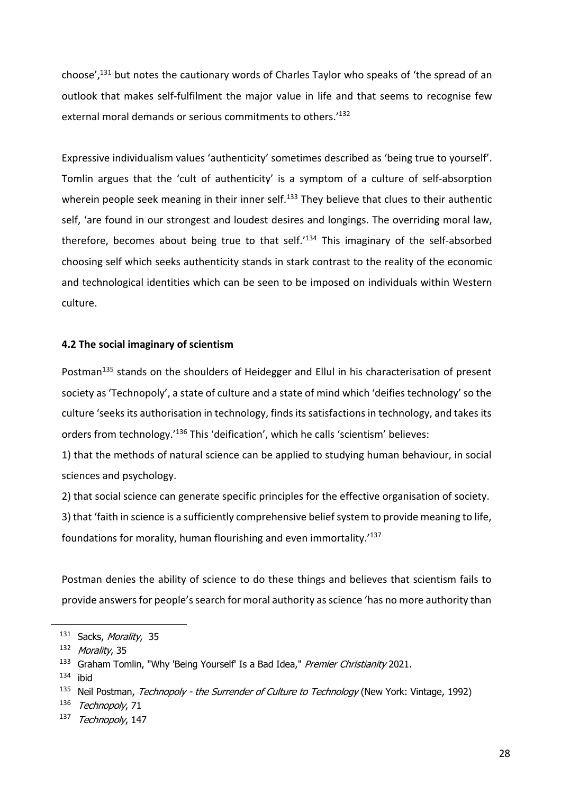choose',131 but notes the cautionary words of Charles Taylor who speaks of 'the spread of an outlook that makes self-fulfilment the major value in life and that seems to recognise few external moral demands or serious commitments to others.<sup>'132</sup>

Expressive individualism values 'authenticity' sometimes described as 'being true to yourself'. Tomlin argues that the 'cult of authenticity' is a symptom of a culture of self-absorption wherein people seek meaning in their inner self.<sup>133</sup> They believe that clues to their authentic self, 'are found in our strongest and loudest desires and longings. The overriding moral law, therefore, becomes about being true to that self.'134 This imaginary of the self-absorbed choosing self which seeks authenticity stands in stark contrast to the reality of the economic and technological identities which can be seen to be imposed on individuals within Western culture.

#### **4.2 The social imaginary of scientism**

Postman<sup>135</sup> stands on the shoulders of Heidegger and Ellul in his characterisation of present society as 'Technopoly', a state of culture and a state of mind which 'deifies technology' so the culture 'seeks its authorisation in technology, finds its satisfactions in technology, and takes its orders from technology.'136 This 'deification', which he calls 'scientism' believes:

1) that the methods of natural science can be applied to studying human behaviour, in social sciences and psychology.

2) that social science can generate specific principles for the effective organisation of society.

3) that 'faith in science is a sufficiently comprehensive belief system to provide meaning to life, foundations for morality, human flourishing and even immortality.'137

Postman denies the ability of science to do these things and believes that scientism fails to provide answers for people's search for moral authority as science 'has no more authority than

<sup>131</sup> Sacks, Morality, 35

<sup>132</sup> Morality, 35

<sup>&</sup>lt;sup>133</sup> Graham Tomlin, "Why 'Being Yourself' Is a Bad Idea," Premier Christianity 2021.

 $134$  ibid

<sup>&</sup>lt;sup>135</sup> Neil Postman, Technopoly - the Surrender of Culture to Technology (New York: Vintage, 1992)

<sup>136</sup> Technopoly, 71

<sup>137</sup> Technopoly, 147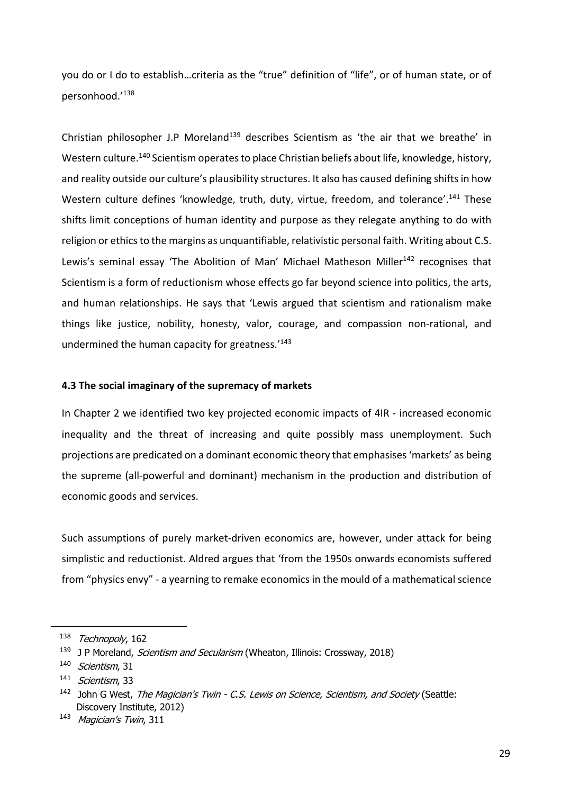you do or I do to establish…criteria as the "true" definition of "life", or of human state, or of personhood.'138

Christian philosopher J.P Moreland<sup>139</sup> describes Scientism as 'the air that we breathe' in Western culture.<sup>140</sup> Scientism operates to place Christian beliefs about life, knowledge, history, and reality outside our culture's plausibility structures. It also has caused defining shifts in how Western culture defines 'knowledge, truth, duty, virtue, freedom, and tolerance'.<sup>141</sup> These shifts limit conceptions of human identity and purpose as they relegate anything to do with religion or ethics to the margins as unquantifiable, relativistic personal faith. Writing about C.S. Lewis's seminal essay 'The Abolition of Man' Michael Matheson Miller<sup>142</sup> recognises that Scientism is a form of reductionism whose effects go far beyond science into politics, the arts, and human relationships. He says that 'Lewis argued that scientism and rationalism make things like justice, nobility, honesty, valor, courage, and compassion non-rational, and undermined the human capacity for greatness.'143

#### **4.3 The social imaginary of the supremacy of markets**

In Chapter 2 we identified two key projected economic impacts of 4IR - increased economic inequality and the threat of increasing and quite possibly mass unemployment. Such projections are predicated on a dominant economic theory that emphasises 'markets' as being the supreme (all-powerful and dominant) mechanism in the production and distribution of economic goods and services.

Such assumptions of purely market-driven economics are, however, under attack for being simplistic and reductionist. Aldred argues that 'from the 1950s onwards economists suffered from "physics envy" - a yearning to remake economics in the mould of a mathematical science

<sup>138</sup> Technopoly, 162

<sup>&</sup>lt;sup>139</sup> J P Moreland, *Scientism and Secularism* (Wheaton, Illinois: Crossway, 2018)

<sup>140</sup> Scientism, 31

<sup>&</sup>lt;sup>141</sup> Scientism, 33

 $142$  John G West, The Magician's Twin - C.S. Lewis on Science, Scientism, and Society (Seattle: Discovery Institute, 2012)

<sup>143</sup> Magician's Twin, 311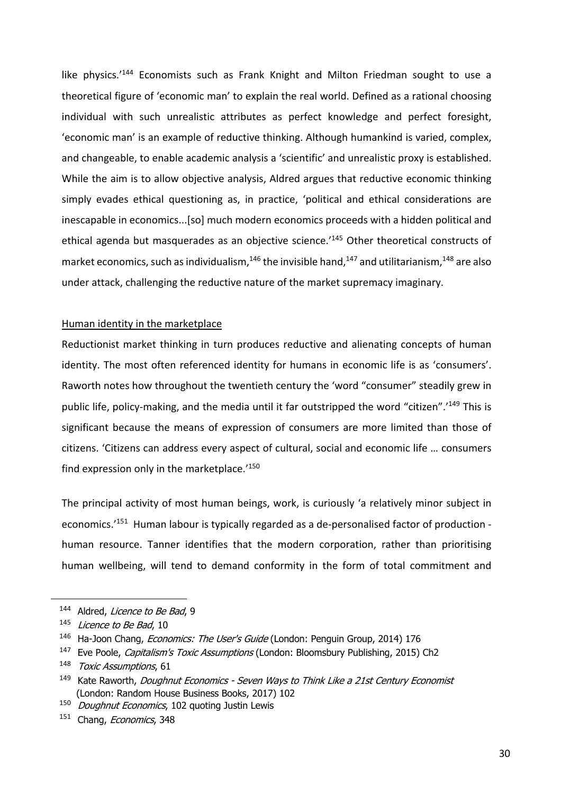like physics.<sup>'144</sup> Economists such as Frank Knight and Milton Friedman sought to use a theoretical figure of 'economic man' to explain the real world. Defined as a rational choosing individual with such unrealistic attributes as perfect knowledge and perfect foresight, 'economic man' is an example of reductive thinking. Although humankind is varied, complex, and changeable, to enable academic analysis a 'scientific' and unrealistic proxy is established. While the aim is to allow objective analysis, Aldred argues that reductive economic thinking simply evades ethical questioning as, in practice, 'political and ethical considerations are inescapable in economics...[so] much modern economics proceeds with a hidden political and ethical agenda but masquerades as an objective science.<sup>'145</sup> Other theoretical constructs of market economics, such as individualism,  $146$  the invisible hand,  $147$  and utilitarianism,  $148$  are also under attack, challenging the reductive nature of the market supremacy imaginary.

#### Human identity in the marketplace

Reductionist market thinking in turn produces reductive and alienating concepts of human identity. The most often referenced identity for humans in economic life is as 'consumers'. Raworth notes how throughout the twentieth century the 'word "consumer" steadily grew in public life, policy-making, and the media until it far outstripped the word "citizen".'149 This is significant because the means of expression of consumers are more limited than those of citizens. 'Citizens can address every aspect of cultural, social and economic life … consumers find expression only in the marketplace.'150

The principal activity of most human beings, work, is curiously 'a relatively minor subject in economics.'151 Human labour is typically regarded as a de-personalised factor of production human resource. Tanner identifies that the modern corporation, rather than prioritising human wellbeing, will tend to demand conformity in the form of total commitment and

<sup>144</sup> Aldred, Licence to Be Bad, 9

<sup>&</sup>lt;sup>145</sup> Licence to Be Bad, 10

<sup>&</sup>lt;sup>146</sup> Ha-Joon Chang, *Economics: The User's Guide* (London: Penguin Group, 2014) 176

<sup>&</sup>lt;sup>147</sup> Eve Poole, *Capitalism's Toxic Assumptions* (London: Bloomsbury Publishing, 2015) Ch2

<sup>148</sup> Toxic Assumptions, 61

<sup>&</sup>lt;sup>149</sup> Kate Raworth, *Doughnut Economics - Seven Ways to Think Like a 21st Century Economist* (London: Random House Business Books, 2017) 102

<sup>&</sup>lt;sup>150</sup> Doughnut Economics, 102 quoting Justin Lewis

<sup>151</sup> Chang, Economics, 348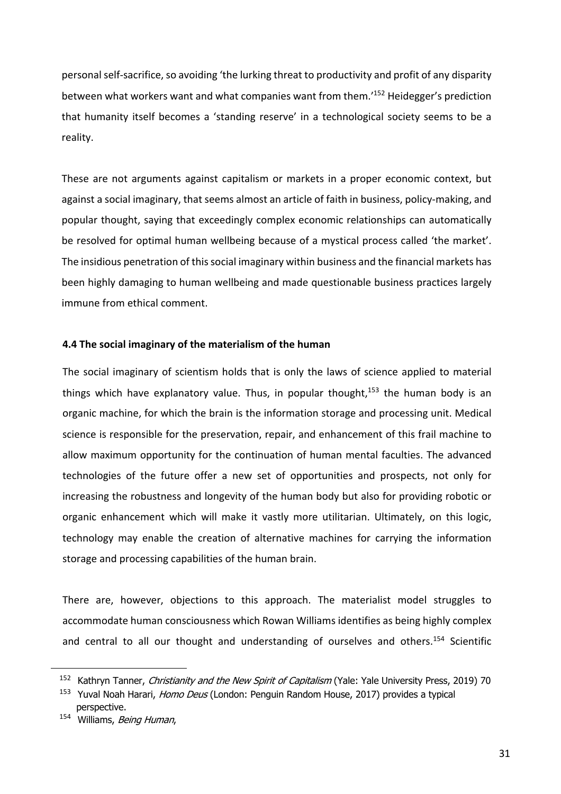personal self-sacrifice, so avoiding 'the lurking threat to productivity and profit of any disparity between what workers want and what companies want from them.'152 Heidegger's prediction that humanity itself becomes a 'standing reserve' in a technological society seems to be a reality.

These are not arguments against capitalism or markets in a proper economic context, but against a social imaginary, that seems almost an article of faith in business, policy-making, and popular thought, saying that exceedingly complex economic relationships can automatically be resolved for optimal human wellbeing because of a mystical process called 'the market'. The insidious penetration of this social imaginary within business and the financial markets has been highly damaging to human wellbeing and made questionable business practices largely immune from ethical comment.

#### **4.4 The social imaginary of the materialism of the human**

The social imaginary of scientism holds that is only the laws of science applied to material things which have explanatory value. Thus, in popular thought, $153$  the human body is an organic machine, for which the brain is the information storage and processing unit. Medical science is responsible for the preservation, repair, and enhancement of this frail machine to allow maximum opportunity for the continuation of human mental faculties. The advanced technologies of the future offer a new set of opportunities and prospects, not only for increasing the robustness and longevity of the human body but also for providing robotic or organic enhancement which will make it vastly more utilitarian. Ultimately, on this logic, technology may enable the creation of alternative machines for carrying the information storage and processing capabilities of the human brain.

There are, however, objections to this approach. The materialist model struggles to accommodate human consciousness which Rowan Williams identifies as being highly complex and central to all our thought and understanding of ourselves and others.<sup>154</sup> Scientific

<sup>&</sup>lt;sup>152</sup> Kathryn Tanner, Christianity and the New Spirit of Capitalism (Yale: Yale University Press, 2019) 70

<sup>&</sup>lt;sup>153</sup> Yuval Noah Harari, *Homo Deus* (London: Penguin Random House, 2017) provides a typical perspective.

<sup>154</sup> Williams, Being Human,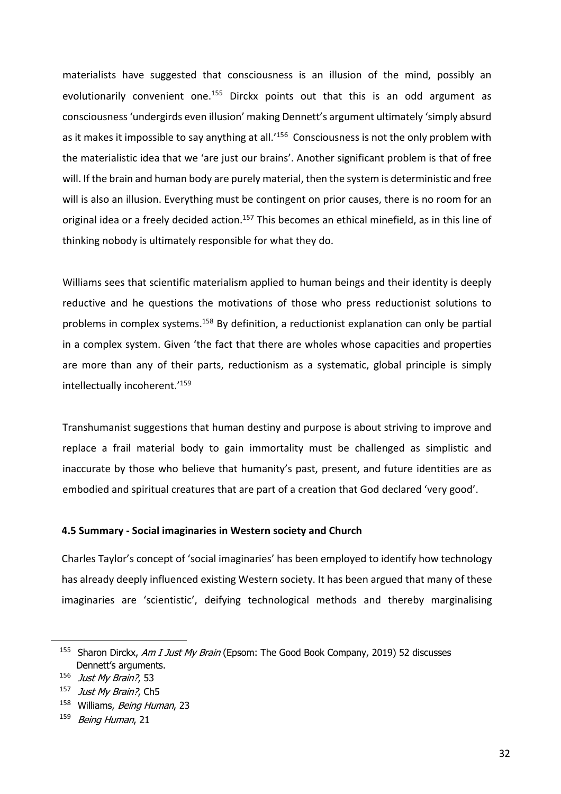materialists have suggested that consciousness is an illusion of the mind, possibly an evolutionarily convenient one.<sup>155</sup> Dirckx points out that this is an odd argument as consciousness 'undergirds even illusion' making Dennett's argument ultimately 'simply absurd as it makes it impossible to say anything at all.<sup>'156</sup> Consciousness is not the only problem with the materialistic idea that we 'are just our brains'. Another significant problem is that of free will. If the brain and human body are purely material, then the system is deterministic and free will is also an illusion. Everything must be contingent on prior causes, there is no room for an original idea or a freely decided action.<sup>157</sup> This becomes an ethical minefield, as in this line of thinking nobody is ultimately responsible for what they do.

Williams sees that scientific materialism applied to human beings and their identity is deeply reductive and he questions the motivations of those who press reductionist solutions to problems in complex systems.<sup>158</sup> By definition, a reductionist explanation can only be partial in a complex system. Given 'the fact that there are wholes whose capacities and properties are more than any of their parts, reductionism as a systematic, global principle is simply intellectually incoherent.'159

Transhumanist suggestions that human destiny and purpose is about striving to improve and replace a frail material body to gain immortality must be challenged as simplistic and inaccurate by those who believe that humanity's past, present, and future identities are as embodied and spiritual creatures that are part of a creation that God declared 'very good'.

#### **4.5 Summary - Social imaginaries in Western society and Church**

Charles Taylor's concept of 'social imaginaries' has been employed to identify how technology has already deeply influenced existing Western society. It has been argued that many of these imaginaries are 'scientistic', deifying technological methods and thereby marginalising

<sup>&</sup>lt;sup>155</sup> Sharon Dirckx, Am I Just My Brain (Epsom: The Good Book Company, 2019) 52 discusses Dennett's arguments.

<sup>156</sup> Just My Brain?, 53

<sup>&</sup>lt;sup>157</sup> *Just My Brain?*, Ch5

<sup>&</sup>lt;sup>158</sup> Williams, Being Human, 23

<sup>159</sup> Being Human, 21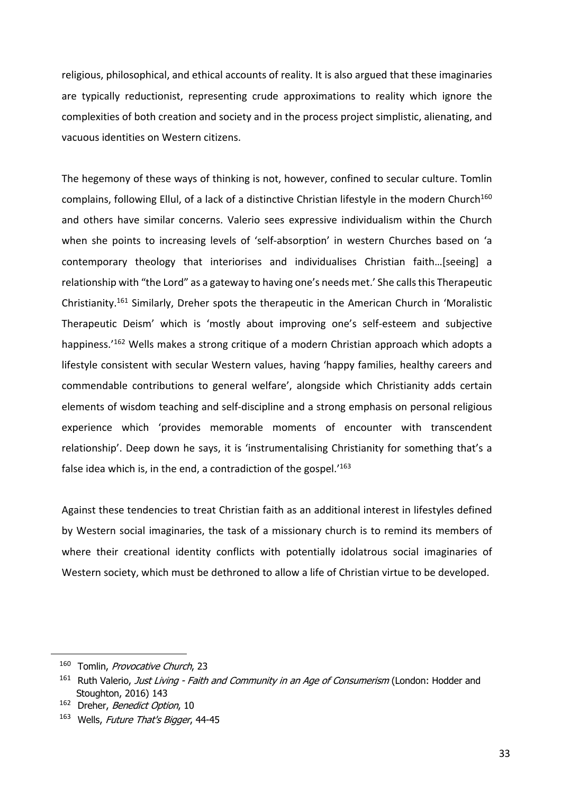religious, philosophical, and ethical accounts of reality. It is also argued that these imaginaries are typically reductionist, representing crude approximations to reality which ignore the complexities of both creation and society and in the process project simplistic, alienating, and vacuous identities on Western citizens.

The hegemony of these ways of thinking is not, however, confined to secular culture. Tomlin complains, following Ellul, of a lack of a distinctive Christian lifestyle in the modern Church<sup>160</sup> and others have similar concerns. Valerio sees expressive individualism within the Church when she points to increasing levels of 'self-absorption' in western Churches based on 'a contemporary theology that interiorises and individualises Christian faith…[seeing] a relationship with "the Lord" as a gateway to having one's needs met.' She calls this Therapeutic Christianity.161 Similarly, Dreher spots the therapeutic in the American Church in 'Moralistic Therapeutic Deism' which is 'mostly about improving one's self-esteem and subjective happiness.<sup>'162</sup> Wells makes a strong critique of a modern Christian approach which adopts a lifestyle consistent with secular Western values, having 'happy families, healthy careers and commendable contributions to general welfare', alongside which Christianity adds certain elements of wisdom teaching and self-discipline and a strong emphasis on personal religious experience which 'provides memorable moments of encounter with transcendent relationship'. Deep down he says, it is 'instrumentalising Christianity for something that's a false idea which is, in the end, a contradiction of the gospel. $163$ 

Against these tendencies to treat Christian faith as an additional interest in lifestyles defined by Western social imaginaries, the task of a missionary church is to remind its members of where their creational identity conflicts with potentially idolatrous social imaginaries of Western society, which must be dethroned to allow a life of Christian virtue to be developed.

<sup>160</sup> Tomlin, Provocative Church, 23

<sup>&</sup>lt;sup>161</sup> Ruth Valerio, Just Living - Faith and Community in an Age of Consumerism (London: Hodder and Stoughton, 2016) 143

<sup>&</sup>lt;sup>162</sup> Dreher, *Benedict Option*, 10

<sup>163</sup> Wells, Future That's Bigger, 44-45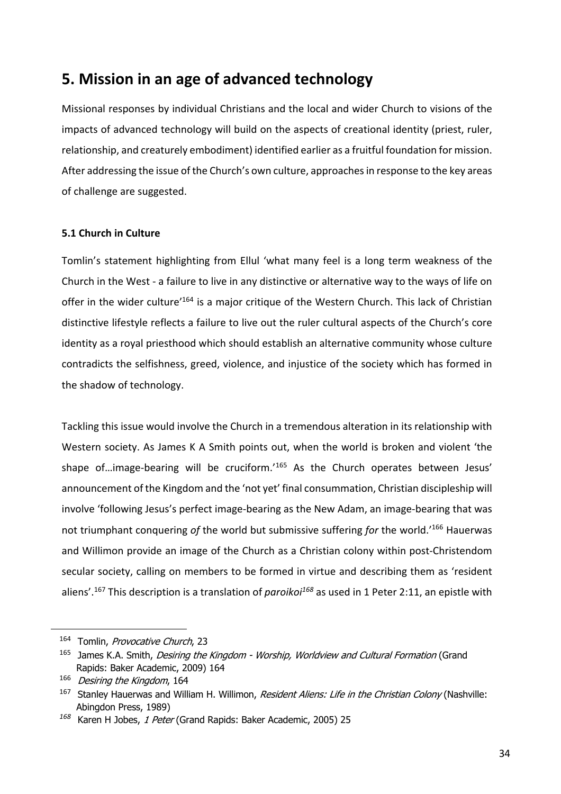# **5. Mission in an age of advanced technology**

Missional responses by individual Christians and the local and wider Church to visions of the impacts of advanced technology will build on the aspects of creational identity (priest, ruler, relationship, and creaturely embodiment) identified earlier as a fruitful foundation for mission. After addressing the issue of the Church's own culture, approaches in response to the key areas of challenge are suggested.

# **5.1 Church in Culture**

Tomlin's statement highlighting from Ellul 'what many feel is a long term weakness of the Church in the West - a failure to live in any distinctive or alternative way to the ways of life on offer in the wider culture<sup>'164</sup> is a major critique of the Western Church. This lack of Christian distinctive lifestyle reflects a failure to live out the ruler cultural aspects of the Church's core identity as a royal priesthood which should establish an alternative community whose culture contradicts the selfishness, greed, violence, and injustice of the society which has formed in the shadow of technology.

Tackling this issue would involve the Church in a tremendous alteration in its relationship with Western society. As James K A Smith points out, when the world is broken and violent 'the shape of...image-bearing will be cruciform.'<sup>165</sup> As the Church operates between Jesus' announcement of the Kingdom and the 'not yet' final consummation, Christian discipleship will involve 'following Jesus's perfect image-bearing as the New Adam, an image-bearing that was not triumphant conquering *of* the world but submissive suffering *for* the world.'166 Hauerwas and Willimon provide an image of the Church as a Christian colony within post-Christendom secular society, calling on members to be formed in virtue and describing them as 'resident aliens'.167 This description is a translation of *paroikoi168* as used in 1 Peter 2:11, an epistle with

<sup>&</sup>lt;sup>164</sup> Tomlin, *Provocative Church*, 23

<sup>&</sup>lt;sup>165</sup> James K.A. Smith, *Desiring the Kingdom - Worship, Worldview and Cultural Formation* (Grand Rapids: Baker Academic, 2009) 164

<sup>166</sup> Desiring the Kingdom, 164

<sup>&</sup>lt;sup>167</sup> Stanley Hauerwas and William H. Willimon, Resident Aliens: Life in the Christian Colony (Nashville: Abingdon Press, 1989)

*<sup>168</sup>* Karen H Jobes, 1 Peter (Grand Rapids: Baker Academic, 2005) 25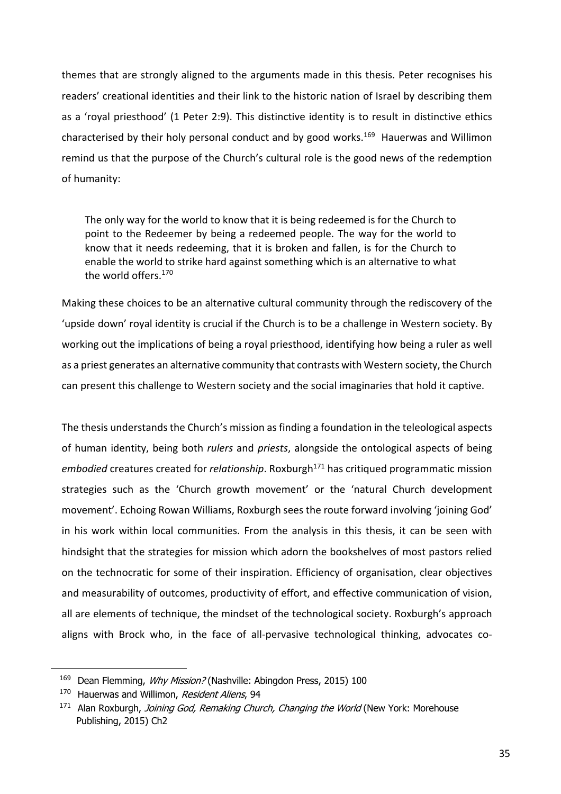themes that are strongly aligned to the arguments made in this thesis. Peter recognises his readers' creational identities and their link to the historic nation of Israel by describing them as a 'royal priesthood' (1 Peter 2:9). This distinctive identity is to result in distinctive ethics characterised by their holy personal conduct and by good works.<sup>169</sup> Hauerwas and Willimon remind us that the purpose of the Church's cultural role is the good news of the redemption of humanity:

The only way for the world to know that it is being redeemed is for the Church to point to the Redeemer by being a redeemed people. The way for the world to know that it needs redeeming, that it is broken and fallen, is for the Church to enable the world to strike hard against something which is an alternative to what the world offers.<sup>170</sup>

Making these choices to be an alternative cultural community through the rediscovery of the 'upside down' royal identity is crucial if the Church is to be a challenge in Western society. By working out the implications of being a royal priesthood, identifying how being a ruler as well as a priest generates an alternative community that contrasts with Western society, the Church can present this challenge to Western society and the social imaginaries that hold it captive.

The thesis understands the Church's mission as finding a foundation in the teleological aspects of human identity, being both *rulers* and *priests*, alongside the ontological aspects of being embodied creatures created for *relationship*. Roxburgh<sup>171</sup> has critiqued programmatic mission strategies such as the 'Church growth movement' or the 'natural Church development movement'. Echoing Rowan Williams, Roxburgh sees the route forward involving 'joining God' in his work within local communities. From the analysis in this thesis, it can be seen with hindsight that the strategies for mission which adorn the bookshelves of most pastors relied on the technocratic for some of their inspiration. Efficiency of organisation, clear objectives and measurability of outcomes, productivity of effort, and effective communication of vision, all are elements of technique, the mindset of the technological society. Roxburgh's approach aligns with Brock who, in the face of all-pervasive technological thinking, advocates co-

<sup>&</sup>lt;sup>169</sup> Dean Flemming, Why Mission? (Nashville: Abingdon Press, 2015) 100

<sup>&</sup>lt;sup>170</sup> Hauerwas and Willimon, Resident Aliens, 94

<sup>&</sup>lt;sup>171</sup> Alan Roxburgh, *Joining God, Remaking Church, Changing the World* (New York: Morehouse Publishing, 2015) Ch2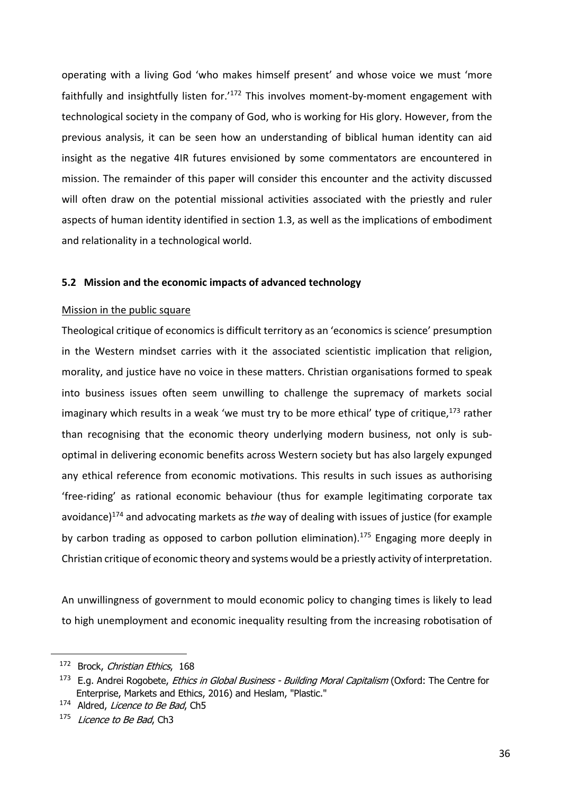operating with a living God 'who makes himself present' and whose voice we must 'more faithfully and insightfully listen for.<sup>'172</sup> This involves moment-by-moment engagement with technological society in the company of God, who is working for His glory. However, from the previous analysis, it can be seen how an understanding of biblical human identity can aid insight as the negative 4IR futures envisioned by some commentators are encountered in mission. The remainder of this paper will consider this encounter and the activity discussed will often draw on the potential missional activities associated with the priestly and ruler aspects of human identity identified in section 1.3, as well as the implications of embodiment and relationality in a technological world.

#### **5.2 Mission and the economic impacts of advanced technology**

#### Mission in the public square

Theological critique of economics is difficult territory as an 'economics is science' presumption in the Western mindset carries with it the associated scientistic implication that religion, morality, and justice have no voice in these matters. Christian organisations formed to speak into business issues often seem unwilling to challenge the supremacy of markets social imaginary which results in a weak 'we must try to be more ethical' type of critique,  $173$  rather than recognising that the economic theory underlying modern business, not only is suboptimal in delivering economic benefits across Western society but has also largely expunged any ethical reference from economic motivations. This results in such issues as authorising 'free-riding' as rational economic behaviour (thus for example legitimating corporate tax avoidance)174 and advocating markets as *the* way of dealing with issues of justice (for example by carbon trading as opposed to carbon pollution elimination).<sup>175</sup> Engaging more deeply in Christian critique of economic theory and systems would be a priestly activity of interpretation.

An unwillingness of government to mould economic policy to changing times is likely to lead to high unemployment and economic inequality resulting from the increasing robotisation of

<sup>172</sup> Brock, Christian Ethics, 168

<sup>&</sup>lt;sup>173</sup> E.g. Andrei Rogobete, *Ethics in Global Business - Building Moral Capitalism* (Oxford: The Centre for Enterprise, Markets and Ethics, 2016) and Heslam, "Plastic."

<sup>&</sup>lt;sup>174</sup> Aldred, *Licence to Be Bad*, Ch5

<sup>&</sup>lt;sup>175</sup> Licence to Be Bad, Ch3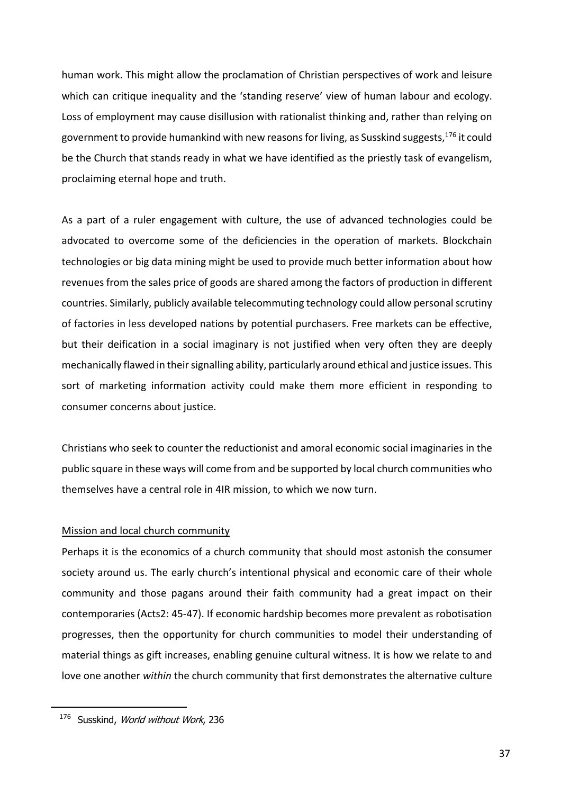human work. This might allow the proclamation of Christian perspectives of work and leisure which can critique inequality and the 'standing reserve' view of human labour and ecology. Loss of employment may cause disillusion with rationalist thinking and, rather than relying on government to provide humankind with new reasons for living, as Susskind suggests,  $176$  it could be the Church that stands ready in what we have identified as the priestly task of evangelism, proclaiming eternal hope and truth.

As a part of a ruler engagement with culture, the use of advanced technologies could be advocated to overcome some of the deficiencies in the operation of markets. Blockchain technologies or big data mining might be used to provide much better information about how revenues from the sales price of goods are shared among the factors of production in different countries. Similarly, publicly available telecommuting technology could allow personal scrutiny of factories in less developed nations by potential purchasers. Free markets can be effective, but their deification in a social imaginary is not justified when very often they are deeply mechanically flawed in their signalling ability, particularly around ethical and justice issues. This sort of marketing information activity could make them more efficient in responding to consumer concerns about justice.

Christians who seek to counter the reductionist and amoral economic social imaginaries in the public square in these ways will come from and be supported by local church communities who themselves have a central role in 4IR mission, to which we now turn.

#### Mission and local church community

Perhaps it is the economics of a church community that should most astonish the consumer society around us. The early church's intentional physical and economic care of their whole community and those pagans around their faith community had a great impact on their contemporaries (Acts2: 45-47). If economic hardship becomes more prevalent as robotisation progresses, then the opportunity for church communities to model their understanding of material things as gift increases, enabling genuine cultural witness. It is how we relate to and love one another *within* the church community that first demonstrates the alternative culture

<sup>&</sup>lt;sup>176</sup> Susskind, World without Work, 236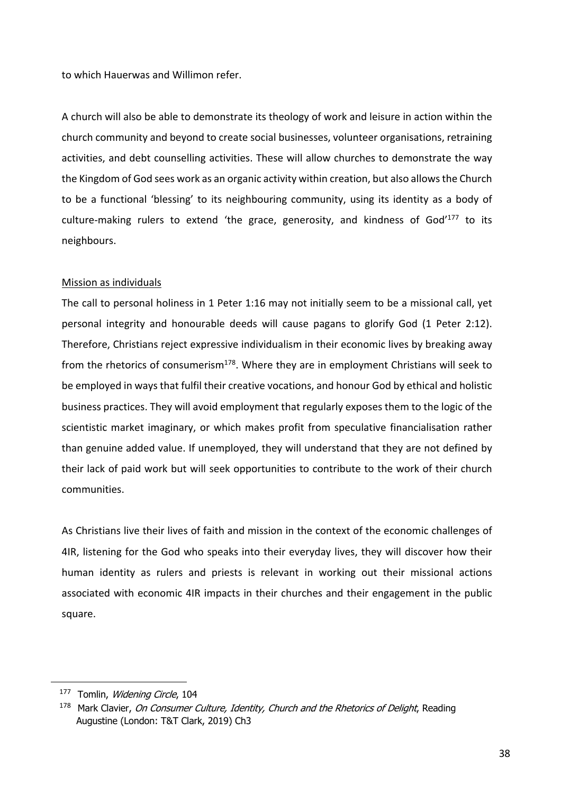to which Hauerwas and Willimon refer.

A church will also be able to demonstrate its theology of work and leisure in action within the church community and beyond to create social businesses, volunteer organisations, retraining activities, and debt counselling activities. These will allow churches to demonstrate the way the Kingdom of God sees work as an organic activity within creation, but also allows the Church to be a functional 'blessing' to its neighbouring community, using its identity as a body of culture-making rulers to extend 'the grace, generosity, and kindness of God' $177$  to its neighbours.

#### Mission as individuals

The call to personal holiness in 1 Peter 1:16 may not initially seem to be a missional call, yet personal integrity and honourable deeds will cause pagans to glorify God (1 Peter 2:12). Therefore, Christians reject expressive individualism in their economic lives by breaking away from the rhetorics of consumerism $178$ . Where they are in employment Christians will seek to be employed in ways that fulfil their creative vocations, and honour God by ethical and holistic business practices. They will avoid employment that regularly exposes them to the logic of the scientistic market imaginary, or which makes profit from speculative financialisation rather than genuine added value. If unemployed, they will understand that they are not defined by their lack of paid work but will seek opportunities to contribute to the work of their church communities.

As Christians live their lives of faith and mission in the context of the economic challenges of 4IR, listening for the God who speaks into their everyday lives, they will discover how their human identity as rulers and priests is relevant in working out their missional actions associated with economic 4IR impacts in their churches and their engagement in the public square.

<sup>177</sup> Tomlin, Widening Circle, 104

<sup>&</sup>lt;sup>178</sup> Mark Clavier, On Consumer Culture, Identity, Church and the Rhetorics of Delight, Reading Augustine (London: T&T Clark, 2019) Ch3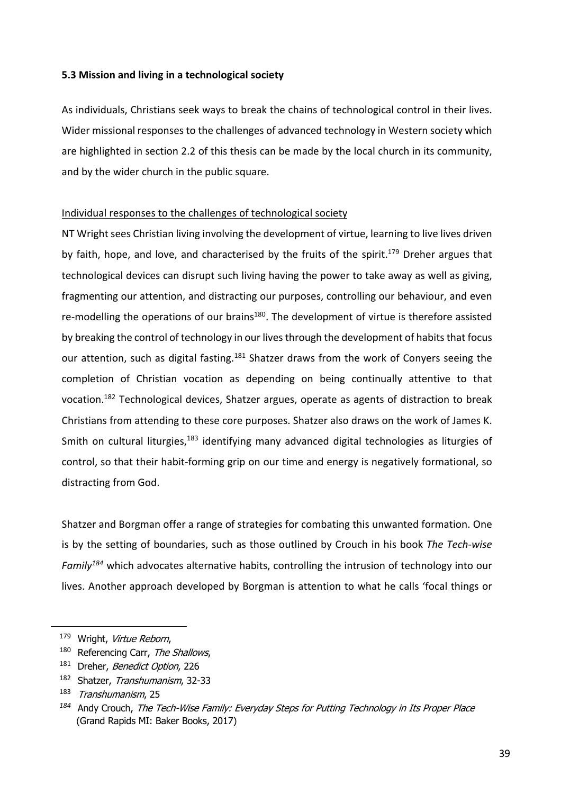#### **5.3 Mission and living in a technological society**

As individuals, Christians seek ways to break the chains of technological control in their lives. Wider missional responses to the challenges of advanced technology in Western society which are highlighted in section 2.2 of this thesis can be made by the local church in its community, and by the wider church in the public square.

#### Individual responses to the challenges of technological society

NT Wright sees Christian living involving the development of virtue, learning to live lives driven by faith, hope, and love, and characterised by the fruits of the spirit.<sup>179</sup> Dreher argues that technological devices can disrupt such living having the power to take away as well as giving, fragmenting our attention, and distracting our purposes, controlling our behaviour, and even re-modelling the operations of our brains<sup>180</sup>. The development of virtue is therefore assisted by breaking the control of technology in our lives through the development of habits that focus our attention, such as digital fasting.<sup>181</sup> Shatzer draws from the work of Conyers seeing the completion of Christian vocation as depending on being continually attentive to that vocation.<sup>182</sup> Technological devices, Shatzer argues, operate as agents of distraction to break Christians from attending to these core purposes. Shatzer also draws on the work of James K. Smith on cultural liturgies,<sup>183</sup> identifying many advanced digital technologies as liturgies of control, so that their habit-forming grip on our time and energy is negatively formational, so distracting from God.

Shatzer and Borgman offer a range of strategies for combating this unwanted formation. One is by the setting of boundaries, such as those outlined by Crouch in his book *The Tech-wise Family184* which advocates alternative habits, controlling the intrusion of technology into our lives. Another approach developed by Borgman is attention to what he calls 'focal things or

<sup>179</sup> Wright, Virtue Reborn,

<sup>&</sup>lt;sup>180</sup> Referencing Carr, The Shallows,

<sup>&</sup>lt;sup>181</sup> Dreher, Benedict Option, 226

<sup>182</sup> Shatzer, Transhumanism, 32-33

<sup>183</sup> Transhumanism, 25

*<sup>184</sup>* Andy Crouch, The Tech-Wise Family: Everyday Steps for Putting Technology in Its Proper Place (Grand Rapids MI: Baker Books, 2017)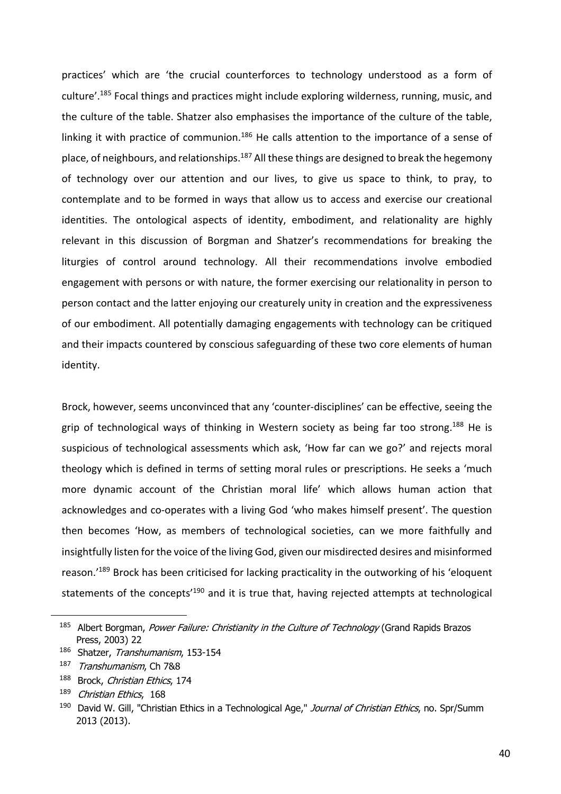practices' which are 'the crucial counterforces to technology understood as a form of culture'.<sup>185</sup> Focal things and practices might include exploring wilderness, running, music, and the culture of the table. Shatzer also emphasises the importance of the culture of the table, linking it with practice of communion.<sup>186</sup> He calls attention to the importance of a sense of place, of neighbours, and relationships.<sup>187</sup> All these things are designed to break the hegemony of technology over our attention and our lives, to give us space to think, to pray, to contemplate and to be formed in ways that allow us to access and exercise our creational identities. The ontological aspects of identity, embodiment, and relationality are highly relevant in this discussion of Borgman and Shatzer's recommendations for breaking the liturgies of control around technology. All their recommendations involve embodied engagement with persons or with nature, the former exercising our relationality in person to person contact and the latter enjoying our creaturely unity in creation and the expressiveness of our embodiment. All potentially damaging engagements with technology can be critiqued and their impacts countered by conscious safeguarding of these two core elements of human identity.

Brock, however, seems unconvinced that any 'counter-disciplines' can be effective, seeing the grip of technological ways of thinking in Western society as being far too strong.<sup>188</sup> He is suspicious of technological assessments which ask, 'How far can we go?' and rejects moral theology which is defined in terms of setting moral rules or prescriptions. He seeks a 'much more dynamic account of the Christian moral life' which allows human action that acknowledges and co-operates with a living God 'who makes himself present'. The question then becomes 'How, as members of technological societies, can we more faithfully and insightfully listen for the voice of the living God, given our misdirected desires and misinformed reason.'189 Brock has been criticised for lacking practicality in the outworking of his 'eloquent statements of the concepts<sup>'190</sup> and it is true that, having rejected attempts at technological

<sup>&</sup>lt;sup>185</sup> Albert Borgman, Power Failure: Christianity in the Culture of Technology (Grand Rapids Brazos Press, 2003) 22

<sup>186</sup> Shatzer, Transhumanism, 153-154

<sup>187</sup> Transhumanism, Ch 7&8

<sup>188</sup> Brock, Christian Ethics, 174

<sup>&</sup>lt;sup>189</sup> Christian Ethics, 168

<sup>&</sup>lt;sup>190</sup> David W. Gill, "Christian Ethics in a Technological Age," Journal of Christian Ethics, no. Spr/Summ 2013 (2013).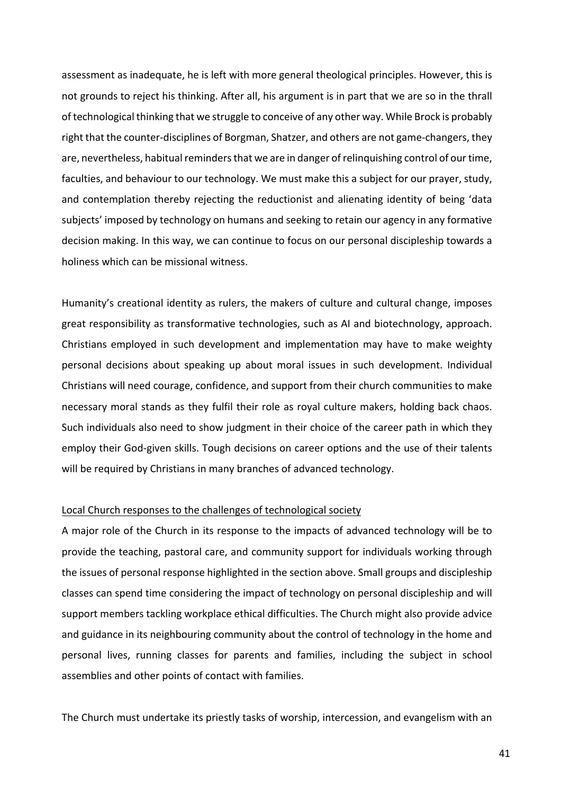assessment as inadequate, he is left with more general theological principles. However, this is not grounds to reject his thinking. After all, his argument is in part that we are so in the thrall of technological thinking that we struggle to conceive of any other way. While Brock is probably right that the counter-disciplines of Borgman, Shatzer, and others are not game-changers, they are, nevertheless, habitual reminders that we are in danger of relinquishing control of our time, faculties, and behaviour to our technology. We must make this a subject for our prayer, study, and contemplation thereby rejecting the reductionist and alienating identity of being 'data subjects' imposed by technology on humans and seeking to retain our agency in any formative decision making. In this way, we can continue to focus on our personal discipleship towards a holiness which can be missional witness.

Humanity's creational identity as rulers, the makers of culture and cultural change, imposes great responsibility as transformative technologies, such as AI and biotechnology, approach. Christians employed in such development and implementation may have to make weighty personal decisions about speaking up about moral issues in such development. Individual Christians will need courage, confidence, and support from their church communities to make necessary moral stands as they fulfil their role as royal culture makers, holding back chaos. Such individuals also need to show judgment in their choice of the career path in which they employ their God-given skills. Tough decisions on career options and the use of their talents will be required by Christians in many branches of advanced technology.

#### Local Church responses to the challenges of technological society

A major role of the Church in its response to the impacts of advanced technology will be to provide the teaching, pastoral care, and community support for individuals working through the issues of personal response highlighted in the section above. Small groups and discipleship classes can spend time considering the impact of technology on personal discipleship and will support members tackling workplace ethical difficulties. The Church might also provide advice and guidance in its neighbouring community about the control of technology in the home and personal lives, running classes for parents and families, including the subject in school assemblies and other points of contact with families.

The Church must undertake its priestly tasks of worship, intercession, and evangelism with an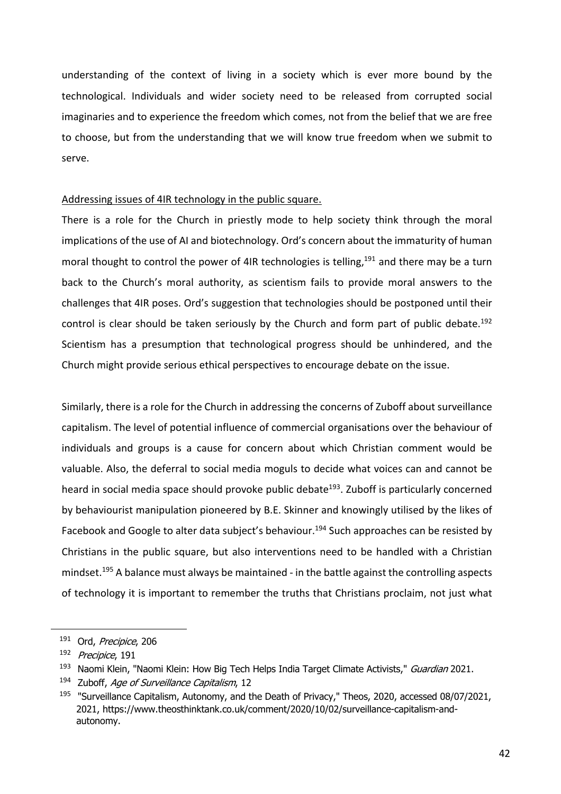understanding of the context of living in a society which is ever more bound by the technological. Individuals and wider society need to be released from corrupted social imaginaries and to experience the freedom which comes, not from the belief that we are free to choose, but from the understanding that we will know true freedom when we submit to serve.

#### Addressing issues of 4IR technology in the public square.

There is a role for the Church in priestly mode to help society think through the moral implications of the use of AI and biotechnology. Ord's concern about the immaturity of human moral thought to control the power of 4IR technologies is telling,  $191$  and there may be a turn back to the Church's moral authority, as scientism fails to provide moral answers to the challenges that 4IR poses. Ord's suggestion that technologies should be postponed until their control is clear should be taken seriously by the Church and form part of public debate.<sup>192</sup> Scientism has a presumption that technological progress should be unhindered, and the Church might provide serious ethical perspectives to encourage debate on the issue.

Similarly, there is a role for the Church in addressing the concerns of Zuboff about surveillance capitalism. The level of potential influence of commercial organisations over the behaviour of individuals and groups is a cause for concern about which Christian comment would be valuable. Also, the deferral to social media moguls to decide what voices can and cannot be heard in social media space should provoke public debate<sup>193</sup>. Zuboff is particularly concerned by behaviourist manipulation pioneered by B.E. Skinner and knowingly utilised by the likes of Facebook and Google to alter data subject's behaviour.<sup>194</sup> Such approaches can be resisted by Christians in the public square, but also interventions need to be handled with a Christian mindset.<sup>195</sup> A balance must always be maintained - in the battle against the controlling aspects of technology it is important to remember the truths that Christians proclaim, not just what

<sup>&</sup>lt;sup>191</sup> Ord, Precipice, 206

<sup>192</sup> Precipice, 191

<sup>&</sup>lt;sup>193</sup> Naomi Klein, "Naomi Klein: How Big Tech Helps India Target Climate Activists," Guardian 2021.

<sup>&</sup>lt;sup>194</sup> Zuboff, Age of Surveillance Capitalism, 12

<sup>&</sup>lt;sup>195</sup> "Surveillance Capitalism, Autonomy, and the Death of Privacy," Theos, 2020, accessed 08/07/2021, 2021, https://www.theosthinktank.co.uk/comment/2020/10/02/surveillance-capitalism-andautonomy.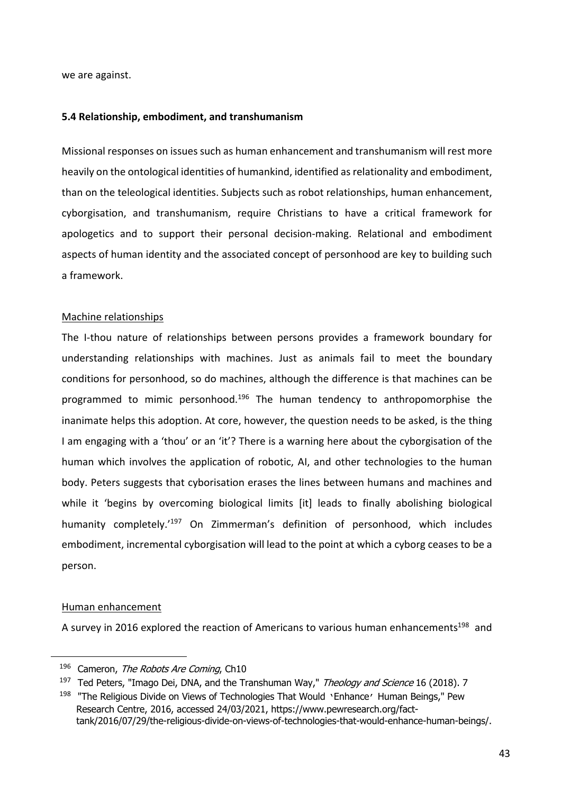we are against.

#### **5.4 Relationship, embodiment, and transhumanism**

Missional responses on issues such as human enhancement and transhumanism will rest more heavily on the ontological identities of humankind, identified as relationality and embodiment, than on the teleological identities. Subjects such as robot relationships, human enhancement, cyborgisation, and transhumanism, require Christians to have a critical framework for apologetics and to support their personal decision-making. Relational and embodiment aspects of human identity and the associated concept of personhood are key to building such a framework.

#### Machine relationships

The I-thou nature of relationships between persons provides a framework boundary for understanding relationships with machines. Just as animals fail to meet the boundary conditions for personhood, so do machines, although the difference is that machines can be programmed to mimic personhood.<sup>196</sup> The human tendency to anthropomorphise the inanimate helps this adoption. At core, however, the question needs to be asked, is the thing I am engaging with a 'thou' or an 'it'? There is a warning here about the cyborgisation of the human which involves the application of robotic, AI, and other technologies to the human body. Peters suggests that cyborisation erases the lines between humans and machines and while it 'begins by overcoming biological limits [it] leads to finally abolishing biological humanity completely.<sup>'197</sup> On Zimmerman's definition of personhood, which includes embodiment, incremental cyborgisation will lead to the point at which a cyborg ceases to be a person.

#### Human enhancement

A survey in 2016 explored the reaction of Americans to various human enhancements<sup>198</sup> and

<sup>&</sup>lt;sup>196</sup> Cameron, The Robots Are Coming, Ch10

<sup>&</sup>lt;sup>197</sup> Ted Peters, "Imago Dei, DNA, and the Transhuman Way," Theology and Science 16 (2018). 7

<sup>&</sup>lt;sup>198</sup> "The Religious Divide on Views of Technologies That Would 'Enhance' Human Beings," Pew Research Centre, 2016, accessed 24/03/2021, https://www.pewresearch.org/facttank/2016/07/29/the-religious-divide-on-views-of-technologies-that-would-enhance-human-beings/.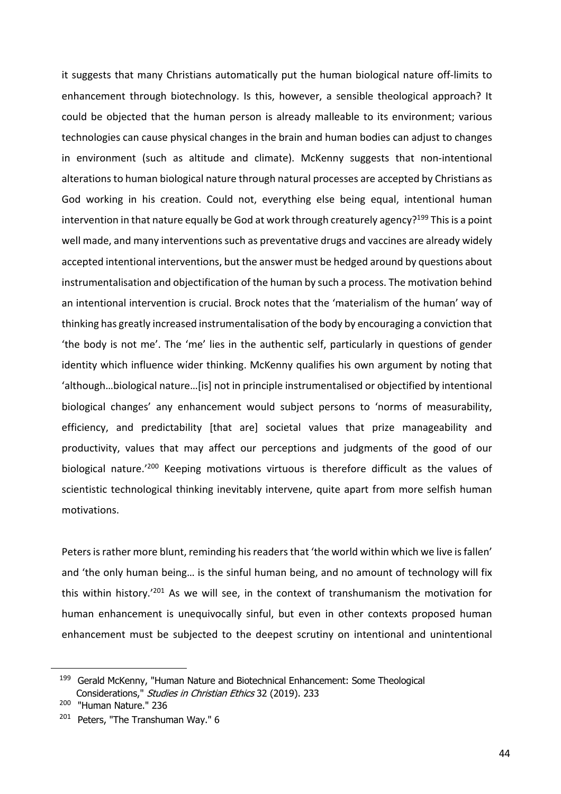it suggests that many Christians automatically put the human biological nature off-limits to enhancement through biotechnology. Is this, however, a sensible theological approach? It could be objected that the human person is already malleable to its environment; various technologies can cause physical changes in the brain and human bodies can adjust to changes in environment (such as altitude and climate). McKenny suggests that non-intentional alterations to human biological nature through natural processes are accepted by Christians as God working in his creation. Could not, everything else being equal, intentional human intervention in that nature equally be God at work through creaturely agency?<sup>199</sup> This is a point well made, and many interventions such as preventative drugs and vaccines are already widely accepted intentional interventions, but the answer must be hedged around by questions about instrumentalisation and objectification of the human by such a process. The motivation behind an intentional intervention is crucial. Brock notes that the 'materialism of the human' way of thinking has greatly increased instrumentalisation of the body by encouraging a conviction that 'the body is not me'. The 'me' lies in the authentic self, particularly in questions of gender identity which influence wider thinking. McKenny qualifies his own argument by noting that 'although…biological nature…[is] not in principle instrumentalised or objectified by intentional biological changes' any enhancement would subject persons to 'norms of measurability, efficiency, and predictability [that are] societal values that prize manageability and productivity, values that may affect our perceptions and judgments of the good of our biological nature.<sup>'200</sup> Keeping motivations virtuous is therefore difficult as the values of scientistic technological thinking inevitably intervene, quite apart from more selfish human motivations.

Peters is rather more blunt, reminding his readers that 'the world within which we live is fallen' and 'the only human being… is the sinful human being, and no amount of technology will fix this within history.'201 As we will see, in the context of transhumanism the motivation for human enhancement is unequivocally sinful, but even in other contexts proposed human enhancement must be subjected to the deepest scrutiny on intentional and unintentional

<sup>&</sup>lt;sup>199</sup> Gerald McKenny, "Human Nature and Biotechnical Enhancement: Some Theological Considerations," Studies in Christian Ethics 32 (2019). 233

<sup>200</sup> "Human Nature." 236

<sup>&</sup>lt;sup>201</sup> Peters, "The Transhuman Way." 6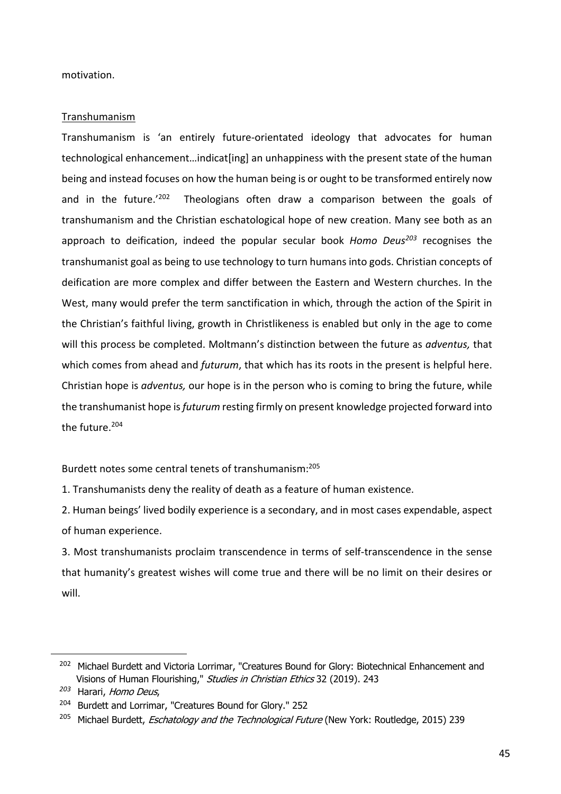motivation.

#### Transhumanism

Transhumanism is 'an entirely future-orientated ideology that advocates for human technological enhancement…indicat[ing] an unhappiness with the present state of the human being and instead focuses on how the human being is or ought to be transformed entirely now and in the future.<sup>'202</sup> Theologians often draw a comparison between the goals of transhumanism and the Christian eschatological hope of new creation. Many see both as an approach to deification, indeed the popular secular book *Homo Deus<sup>203</sup>* recognises the transhumanist goal as being to use technology to turn humans into gods. Christian concepts of deification are more complex and differ between the Eastern and Western churches. In the West, many would prefer the term sanctification in which, through the action of the Spirit in the Christian's faithful living, growth in Christlikeness is enabled but only in the age to come will this process be completed. Moltmann's distinction between the future as *adventus,* that which comes from ahead and *futurum*, that which has its roots in the present is helpful here. Christian hope is *adventus,* our hope is in the person who is coming to bring the future, while the transhumanist hope is *futurum* resting firmly on present knowledge projected forward into the future 204

Burdett notes some central tenets of transhumanism:205

1. Transhumanists deny the reality of death as a feature of human existence.

2. Human beings' lived bodily experience is a secondary, and in most cases expendable, aspect of human experience.

3. Most transhumanists proclaim transcendence in terms of self-transcendence in the sense that humanity's greatest wishes will come true and there will be no limit on their desires or will.

<sup>&</sup>lt;sup>202</sup> Michael Burdett and Victoria Lorrimar, "Creatures Bound for Glory: Biotechnical Enhancement and Visions of Human Flourishing," Studies in Christian Ethics 32 (2019). 243

*<sup>203</sup>* Harari, Homo Deus,

<sup>&</sup>lt;sup>204</sup> Burdett and Lorrimar, "Creatures Bound for Glory." 252

<sup>&</sup>lt;sup>205</sup> Michael Burdett, *Eschatology and the Technological Future* (New York: Routledge, 2015) 239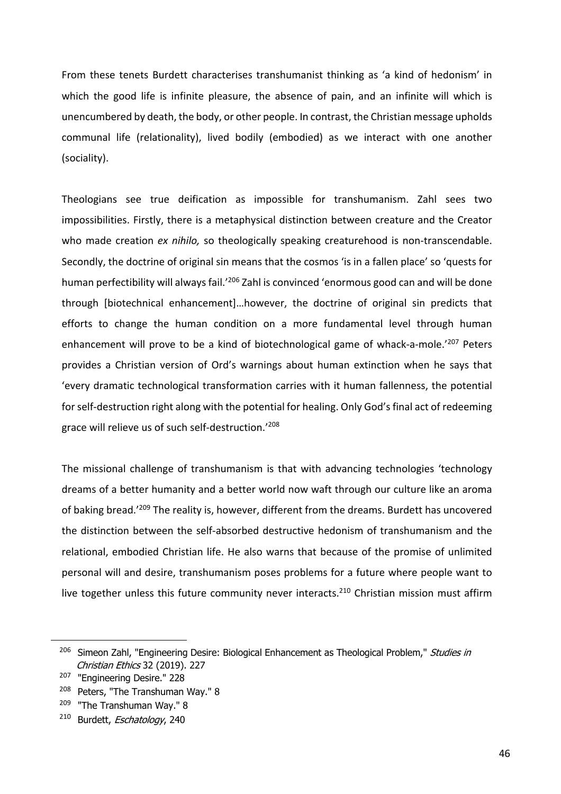From these tenets Burdett characterises transhumanist thinking as 'a kind of hedonism' in which the good life is infinite pleasure, the absence of pain, and an infinite will which is unencumbered by death, the body, or other people. In contrast, the Christian message upholds communal life (relationality), lived bodily (embodied) as we interact with one another (sociality).

Theologians see true deification as impossible for transhumanism. Zahl sees two impossibilities. Firstly, there is a metaphysical distinction between creature and the Creator who made creation *ex nihilo,* so theologically speaking creaturehood is non-transcendable. Secondly, the doctrine of original sin means that the cosmos 'is in a fallen place' so 'quests for human perfectibility will always fail.<sup>'206</sup> Zahl is convinced 'enormous good can and will be done through [biotechnical enhancement]…however, the doctrine of original sin predicts that efforts to change the human condition on a more fundamental level through human enhancement will prove to be a kind of biotechnological game of whack-a-mole.<sup>'207</sup> Peters provides a Christian version of Ord's warnings about human extinction when he says that 'every dramatic technological transformation carries with it human fallenness, the potential for self-destruction right along with the potential for healing. Only God's final act of redeeming grace will relieve us of such self-destruction.'208

The missional challenge of transhumanism is that with advancing technologies 'technology dreams of a better humanity and a better world now waft through our culture like an aroma of baking bread.<sup>'209</sup> The reality is, however, different from the dreams. Burdett has uncovered the distinction between the self-absorbed destructive hedonism of transhumanism and the relational, embodied Christian life. He also warns that because of the promise of unlimited personal will and desire, transhumanism poses problems for a future where people want to live together unless this future community never interacts.<sup>210</sup> Christian mission must affirm

<sup>&</sup>lt;sup>206</sup> Simeon Zahl, "Engineering Desire: Biological Enhancement as Theological Problem," Studies in Christian Ethics 32 (2019). 227

<sup>207</sup> "Engineering Desire." 228

<sup>&</sup>lt;sup>208</sup> Peters, "The Transhuman Way." 8

<sup>&</sup>lt;sup>209</sup> "The Transhuman Way." 8

<sup>&</sup>lt;sup>210</sup> Burdett, *Eschatology*, 240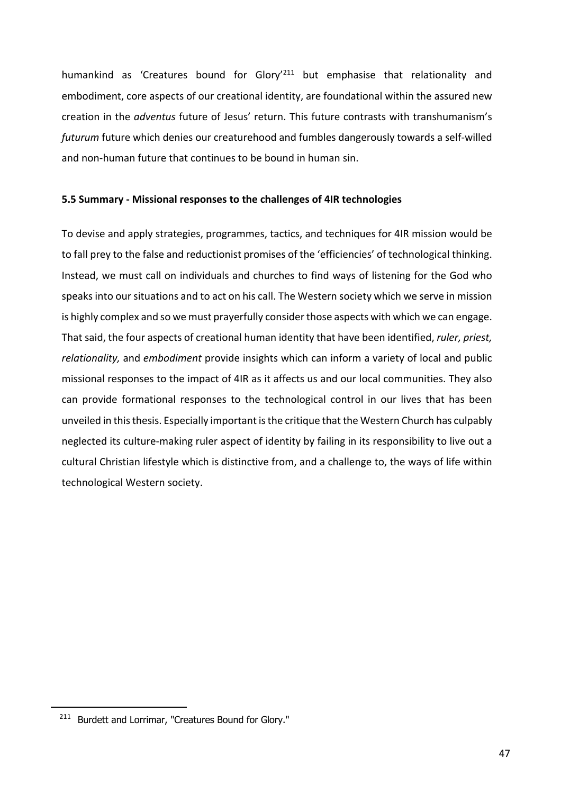humankind as 'Creatures bound for Glory<sup>'211</sup> but emphasise that relationality and embodiment, core aspects of our creational identity, are foundational within the assured new creation in the *adventus* future of Jesus' return. This future contrasts with transhumanism's *futurum* future which denies our creaturehood and fumbles dangerously towards a self-willed and non-human future that continues to be bound in human sin.

#### **5.5 Summary - Missional responses to the challenges of 4IR technologies**

To devise and apply strategies, programmes, tactics, and techniques for 4IR mission would be to fall prey to the false and reductionist promises of the 'efficiencies' of technological thinking. Instead, we must call on individuals and churches to find ways of listening for the God who speaks into our situations and to act on his call. The Western society which we serve in mission is highly complex and so we must prayerfully consider those aspects with which we can engage. That said, the four aspects of creational human identity that have been identified, *ruler, priest, relationality,* and *embodiment* provide insights which can inform a variety of local and public missional responses to the impact of 4IR as it affects us and our local communities. They also can provide formational responses to the technological control in our lives that has been unveiled in this thesis. Especially important is the critique that the Western Church has culpably neglected its culture-making ruler aspect of identity by failing in its responsibility to live out a cultural Christian lifestyle which is distinctive from, and a challenge to, the ways of life within technological Western society.

<sup>211</sup> Burdett and Lorrimar, "Creatures Bound for Glory."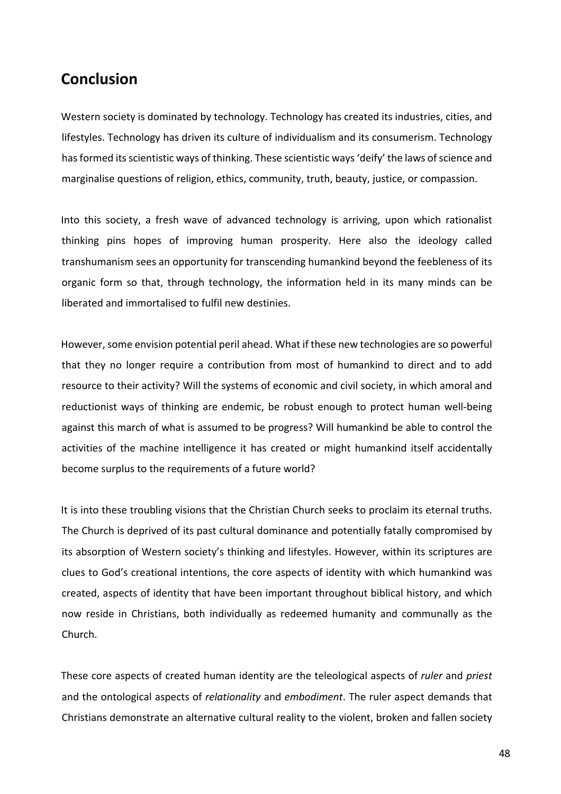# **Conclusion**

Western society is dominated by technology. Technology has created its industries, cities, and lifestyles. Technology has driven its culture of individualism and its consumerism. Technology has formed its scientistic ways of thinking. These scientistic ways 'deify' the laws of science and marginalise questions of religion, ethics, community, truth, beauty, justice, or compassion.

Into this society, a fresh wave of advanced technology is arriving, upon which rationalist thinking pins hopes of improving human prosperity. Here also the ideology called transhumanism sees an opportunity for transcending humankind beyond the feebleness of its organic form so that, through technology, the information held in its many minds can be liberated and immortalised to fulfil new destinies.

However, some envision potential peril ahead. What if these new technologies are so powerful that they no longer require a contribution from most of humankind to direct and to add resource to their activity? Will the systems of economic and civil society, in which amoral and reductionist ways of thinking are endemic, be robust enough to protect human well-being against this march of what is assumed to be progress? Will humankind be able to control the activities of the machine intelligence it has created or might humankind itself accidentally become surplus to the requirements of a future world?

It is into these troubling visions that the Christian Church seeks to proclaim its eternal truths. The Church is deprived of its past cultural dominance and potentially fatally compromised by its absorption of Western society's thinking and lifestyles. However, within its scriptures are clues to God's creational intentions, the core aspects of identity with which humankind was created, aspects of identity that have been important throughout biblical history, and which now reside in Christians, both individually as redeemed humanity and communally as the Church.

These core aspects of created human identity are the teleological aspects of *ruler* and *priest* and the ontological aspects of *relationality* and *embodiment*. The ruler aspect demands that Christians demonstrate an alternative cultural reality to the violent, broken and fallen society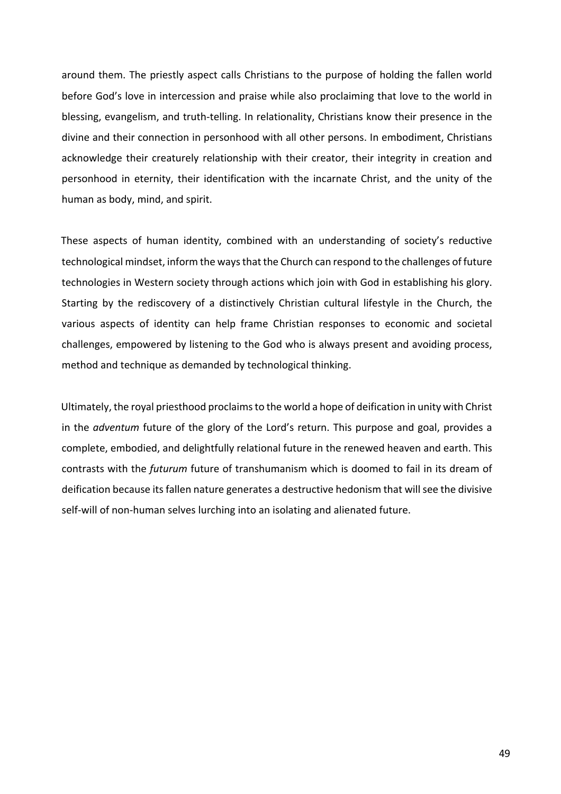around them. The priestly aspect calls Christians to the purpose of holding the fallen world before God's love in intercession and praise while also proclaiming that love to the world in blessing, evangelism, and truth-telling. In relationality, Christians know their presence in the divine and their connection in personhood with all other persons. In embodiment, Christians acknowledge their creaturely relationship with their creator, their integrity in creation and personhood in eternity, their identification with the incarnate Christ, and the unity of the human as body, mind, and spirit.

These aspects of human identity, combined with an understanding of society's reductive technological mindset, inform the ways that the Church can respond to the challenges of future technologies in Western society through actions which join with God in establishing his glory. Starting by the rediscovery of a distinctively Christian cultural lifestyle in the Church, the various aspects of identity can help frame Christian responses to economic and societal challenges, empowered by listening to the God who is always present and avoiding process, method and technique as demanded by technological thinking.

Ultimately, the royal priesthood proclaims to the world a hope of deification in unity with Christ in the *adventum* future of the glory of the Lord's return. This purpose and goal, provides a complete, embodied, and delightfully relational future in the renewed heaven and earth. This contrasts with the *futurum* future of transhumanism which is doomed to fail in its dream of deification because its fallen nature generates a destructive hedonism that will see the divisive self-will of non-human selves lurching into an isolating and alienated future.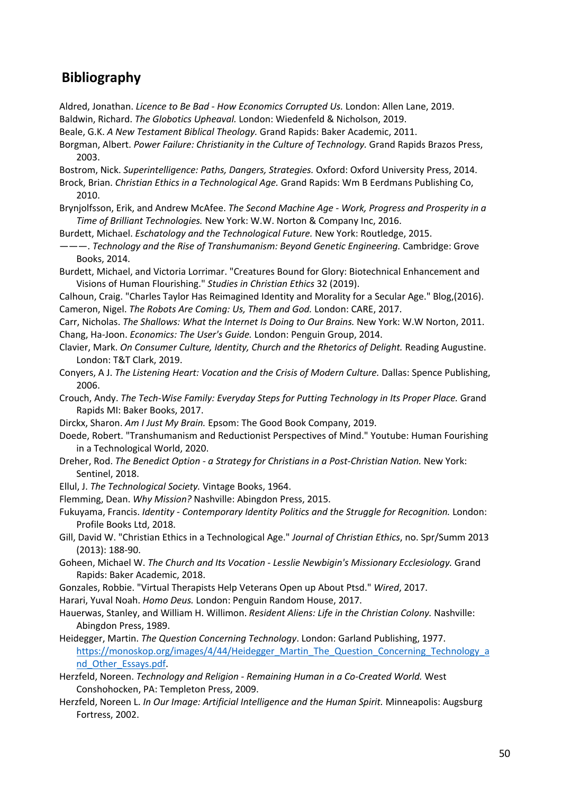# **Bibliography**

- Aldred, Jonathan. *Licence to Be Bad - How Economics Corrupted Us.* London: Allen Lane, 2019. Baldwin, Richard. *The Globotics Upheaval.* London: Wiedenfeld & Nicholson, 2019.
- Beale, G.K. *A New Testament Biblical Theology.* Grand Rapids: Baker Academic, 2011.
- Borgman, Albert. *Power Failure: Christianity in the Culture of Technology.* Grand Rapids Brazos Press, 2003.
- Bostrom, Nick. *Superintelligence: Paths, Dangers, Strategies.* Oxford: Oxford University Press, 2014.
- Brock, Brian. *Christian Ethics in a Technological Age.* Grand Rapids: Wm B Eerdmans Publishing Co, 2010.
- Brynjolfsson, Erik, and Andrew McAfee. *The Second Machine Age - Work, Progress and Prosperity in a Time of Brilliant Technologies.* New York: W.W. Norton & Company Inc, 2016.
- Burdett, Michael. *Eschatology and the Technological Future.* New York: Routledge, 2015.
- ———. *Technology and the Rise of Transhumanism: Beyond Genetic Engineering.* Cambridge: Grove Books, 2014.
- Burdett, Michael, and Victoria Lorrimar. "Creatures Bound for Glory: Biotechnical Enhancement and Visions of Human Flourishing." *Studies in Christian Ethics* 32 (2019).
- Calhoun, Craig. "Charles Taylor Has Reimagined Identity and Morality for a Secular Age." Blog,(2016). Cameron, Nigel. *The Robots Are Coming: Us, Them and God.* London: CARE, 2017.
- Carr, Nicholas. *The Shallows: What the Internet Is Doing to Our Brains.* New York: W.W Norton, 2011. Chang, Ha-Joon. *Economics: The User's Guide.* London: Penguin Group, 2014.
- Clavier, Mark. *On Consumer Culture, Identity, Church and the Rhetorics of Delight.* Reading Augustine. London: T&T Clark, 2019.
- Conyers, A J. *The Listening Heart: Vocation and the Crisis of Modern Culture.* Dallas: Spence Publishing, 2006.
- Crouch, Andy. *The Tech-Wise Family: Everyday Steps for Putting Technology in Its Proper Place.* Grand Rapids MI: Baker Books, 2017.
- Dirckx, Sharon. *Am I Just My Brain.* Epsom: The Good Book Company, 2019.
- Doede, Robert. "Transhumanism and Reductionist Perspectives of Mind." Youtube: Human Fourishing in a Technological World, 2020.
- Dreher, Rod. *The Benedict Option - a Strategy for Christians in a Post-Christian Nation.* New York: Sentinel, 2018.
- Ellul, J. *The Technological Society.* Vintage Books, 1964.
- Flemming, Dean. *Why Mission?* Nashville: Abingdon Press, 2015.
- Fukuyama, Francis. *Identity - Contemporary Identity Politics and the Struggle for Recognition.* London: Profile Books Ltd, 2018.
- Gill, David W. "Christian Ethics in a Technological Age." *Journal of Christian Ethics*, no. Spr/Summ 2013 (2013): 188-90.
- Goheen, Michael W. *The Church and Its Vocation - Lesslie Newbigin's Missionary Ecclesiology.* Grand Rapids: Baker Academic, 2018.
- Gonzales, Robbie. "Virtual Therapists Help Veterans Open up About Ptsd." *Wired*, 2017.
- Harari, Yuval Noah. *Homo Deus.* London: Penguin Random House, 2017.
- Hauerwas, Stanley, and William H. Willimon. *Resident Aliens: Life in the Christian Colony.* Nashville: Abingdon Press, 1989.
- Heidegger, Martin. *The Question Concerning Technology*. London: Garland Publishing, 1977. https://monoskop.org/images/4/44/Heidegger\_Martin\_The\_Question\_Concerning\_Technology\_a nd Other Essays.pdf.
- Herzfeld, Noreen. *Technology and Religion - Remaining Human in a Co-Created World.* West Conshohocken, PA: Templeton Press, 2009.
- Herzfeld, Noreen L. *In Our Image: Artificial Intelligence and the Human Spirit.* Minneapolis: Augsburg Fortress, 2002.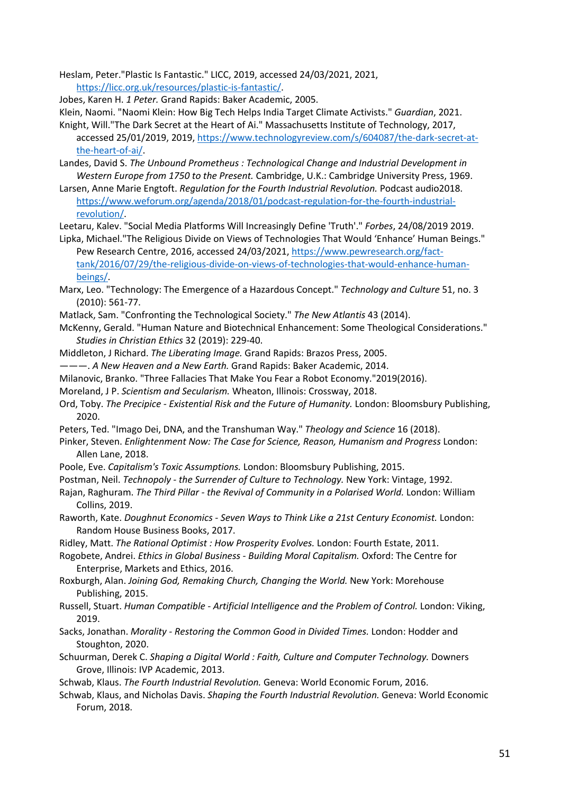Heslam, Peter."Plastic Is Fantastic." LICC, 2019, accessed 24/03/2021, 2021, https://licc.org.uk/resources/plastic-is-fantastic/.

Jobes, Karen H. *1 Peter.* Grand Rapids: Baker Academic, 2005.

Klein, Naomi. "Naomi Klein: How Big Tech Helps India Target Climate Activists." *Guardian*, 2021.

- Knight, Will."The Dark Secret at the Heart of Ai." Massachusetts Institute of Technology, 2017, accessed 25/01/2019, 2019, https://www.technologyreview.com/s/604087/the-dark-secret-atthe-heart-of-ai/.
- Landes, David S. *The Unbound Prometheus : Technological Change and Industrial Development in Western Europe from 1750 to the Present.* Cambridge, U.K.: Cambridge University Press, 1969.
- Larsen, Anne Marie Engtoft. *Regulation for the Fourth Industrial Revolution.* Podcast audio2018. https://www.weforum.org/agenda/2018/01/podcast-regulation-for-the-fourth-industrialrevolution/.
- Leetaru, Kalev. "Social Media Platforms Will Increasingly Define 'Truth'." *Forbes*, 24/08/2019 2019.
- Lipka, Michael."The Religious Divide on Views of Technologies That Would 'Enhance' Human Beings." Pew Research Centre, 2016, accessed 24/03/2021, https://www.pewresearch.org/fact-

tank/2016/07/29/the-religious-divide-on-views-of-technologies-that-would-enhance-humanbeings/.

- Marx, Leo. "Technology: The Emergence of a Hazardous Concept." *Technology and Culture* 51, no. 3 (2010): 561-77.
- Matlack, Sam. "Confronting the Technological Society." *The New Atlantis* 43 (2014).
- McKenny, Gerald. "Human Nature and Biotechnical Enhancement: Some Theological Considerations." *Studies in Christian Ethics* 32 (2019): 229-40.
- Middleton, J Richard. *The Liberating Image.* Grand Rapids: Brazos Press, 2005.
- ———. *A New Heaven and a New Earth.* Grand Rapids: Baker Academic, 2014.
- Milanovic, Branko. "Three Fallacies That Make You Fear a Robot Economy."2019(2016).
- Moreland, J P. *Scientism and Secularism.* Wheaton, Illinois: Crossway, 2018.
- Ord, Toby. *The Precipice - Existential Risk and the Future of Humanity.* London: Bloomsbury Publishing, 2020.
- Peters, Ted. "Imago Dei, DNA, and the Transhuman Way." *Theology and Science* 16 (2018).
- Pinker, Steven. *Enlightenment Now: The Case for Science, Reason, Humanism and Progress* London: Allen Lane, 2018.
- Poole, Eve. *Capitalism's Toxic Assumptions.* London: Bloomsbury Publishing, 2015.
- Postman, Neil. *Technopoly - the Surrender of Culture to Technology.* New York: Vintage, 1992.
- Rajan, Raghuram. *The Third Pillar - the Revival of Community in a Polarised World.* London: William Collins, 2019.
- Raworth, Kate. *Doughnut Economics - Seven Ways to Think Like a 21st Century Economist.* London: Random House Business Books, 2017.
- Ridley, Matt. *The Rational Optimist : How Prosperity Evolves.* London: Fourth Estate, 2011.

Rogobete, Andrei. *Ethics in Global Business - Building Moral Capitalism.* Oxford: The Centre for Enterprise, Markets and Ethics, 2016.

- Roxburgh, Alan. *Joining God, Remaking Church, Changing the World.* New York: Morehouse Publishing, 2015.
- Russell, Stuart. *Human Compatible - Artificial Intelligence and the Problem of Control.* London: Viking, 2019.
- Sacks, Jonathan. *Morality - Restoring the Common Good in Divided Times.* London: Hodder and Stoughton, 2020.
- Schuurman, Derek C. *Shaping a Digital World : Faith, Culture and Computer Technology.* Downers Grove, Illinois: IVP Academic, 2013.
- Schwab, Klaus. *The Fourth Industrial Revolution.* Geneva: World Economic Forum, 2016.
- Schwab, Klaus, and Nicholas Davis. *Shaping the Fourth Industrial Revolution.* Geneva: World Economic Forum, 2018.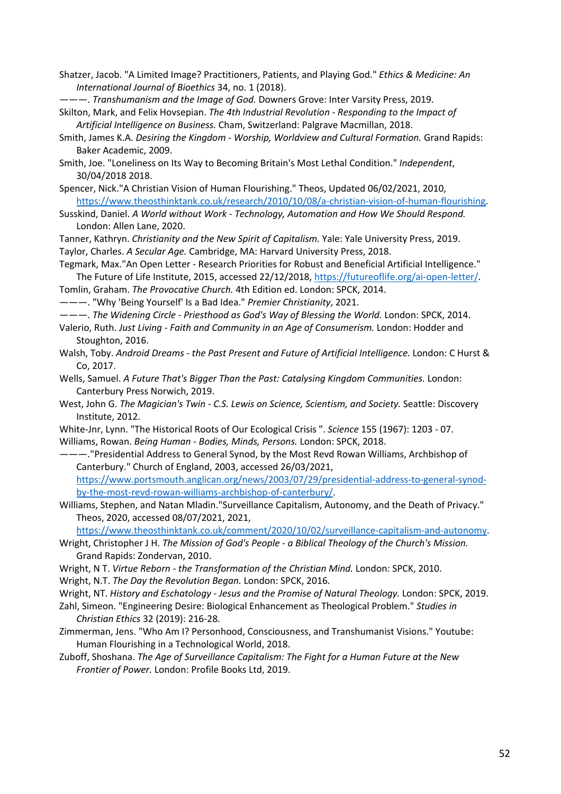- Shatzer, Jacob. "A Limited Image? Practitioners, Patients, and Playing God." *Ethics & Medicine: An International Journal of Bioethics* 34, no. 1 (2018).
- ———. *Transhumanism and the Image of God.* Downers Grove: Inter Varsity Press, 2019.
- Skilton, Mark, and Felix Hovsepian. *The 4th Industrial Revolution - Responding to the Impact of Artificial Intelligence on Business.* Cham, Switzerland: Palgrave Macmillan, 2018.
- Smith, James K.A. *Desiring the Kingdom - Worship, Worldview and Cultural Formation.* Grand Rapids: Baker Academic, 2009.
- Smith, Joe. "Loneliness on Its Way to Becoming Britain's Most Lethal Condition." *Independent*, 30/04/2018 2018.
- Spencer, Nick."A Christian Vision of Human Flourishing." Theos, Updated 06/02/2021, 2010, https://www.theosthinktank.co.uk/research/2010/10/08/a-christian-vision-of-human-flourishing.
- Susskind, Daniel. *A World without Work - Technology, Automation and How We Should Respond.* London: Allen Lane, 2020.
- Tanner, Kathryn. *Christianity and the New Spirit of Capitalism.* Yale: Yale University Press, 2019. Taylor, Charles. *A Secular Age.* Cambridge, MA: Harvard University Press, 2018.
- Tegmark, Max."An Open Letter Research Priorities for Robust and Beneficial Artificial Intelligence." The Future of Life Institute, 2015, accessed 22/12/2018, https://futureoflife.org/ai-open-letter/.
- Tomlin, Graham. *The Provocative Church.* 4th Edition ed. London: SPCK, 2014.
- ———. "Why 'Being Yourself' Is a Bad Idea." *Premier Christianity*, 2021.
- ———. *The Widening Circle - Priesthood as God's Way of Blessing the World.* London: SPCK, 2014.
- Valerio, Ruth. *Just Living - Faith and Community in an Age of Consumerism.* London: Hodder and Stoughton, 2016.
- Walsh, Toby. *Android Dreams - the Past Present and Future of Artificial Intelligence.* London: C Hurst & Co, 2017.
- Wells, Samuel. *A Future That's Bigger Than the Past: Catalysing Kingdom Communities.* London: Canterbury Press Norwich, 2019.
- West, John G. *The Magician's Twin - C.S. Lewis on Science, Scientism, and Society.* Seattle: Discovery Institute, 2012.
- White-Jnr, Lynn. "The Historical Roots of Our Ecological Crisis ". *Science* 155 (1967): 1203 07. Williams, Rowan. *Being Human - Bodies, Minds, Persons.* London: SPCK, 2018.
- ———."Presidential Address to General Synod, by the Most Revd Rowan Williams, Archbishop of Canterbury." Church of England, 2003, accessed 26/03/2021, https://www.portsmouth.anglican.org/news/2003/07/29/presidential-address-to-general-synodby-the-most-revd-rowan-williams-archbishop-of-canterbury/.
- Williams, Stephen, and Natan Mladin."Surveillance Capitalism, Autonomy, and the Death of Privacy." Theos, 2020, accessed 08/07/2021, 2021,

https://www.theosthinktank.co.uk/comment/2020/10/02/surveillance-capitalism-and-autonomy.

- Wright, Christopher J H. *The Mission of God's People - a Biblical Theology of the Church's Mission.* Grand Rapids: Zondervan, 2010.
- Wright, N T. *Virtue Reborn - the Transformation of the Christian Mind.* London: SPCK, 2010.
- Wright, N.T. *The Day the Revolution Began.* London: SPCK, 2016.
- Wright, NT. *History and Eschatology - Jesus and the Promise of Natural Theology.* London: SPCK, 2019.
- Zahl, Simeon. "Engineering Desire: Biological Enhancement as Theological Problem." *Studies in Christian Ethics* 32 (2019): 216-28.
- Zimmerman, Jens. "Who Am I? Personhood, Consciousness, and Transhumanist Visions." Youtube: Human Flourishing in a Technological World, 2018.
- Zuboff, Shoshana. *The Age of Surveillance Capitalism: The Fight for a Human Future at the New Frontier of Power.* London: Profile Books Ltd, 2019.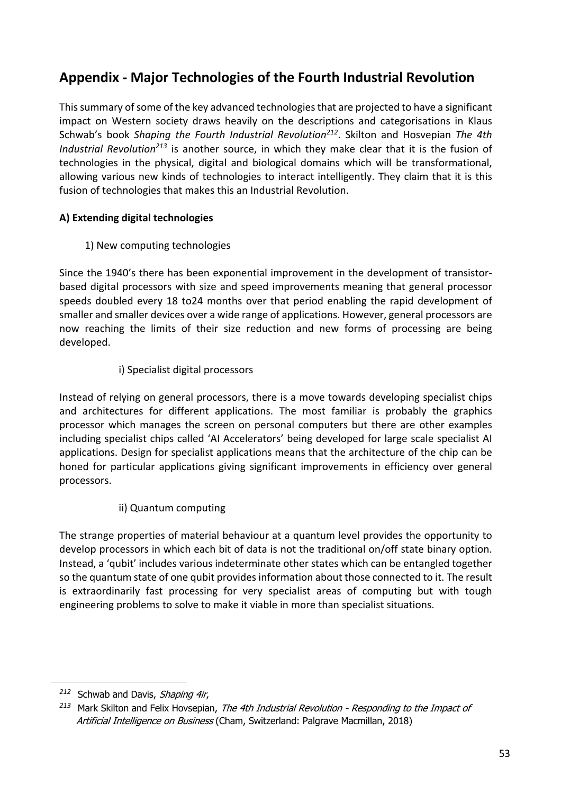# **Appendix - Major Technologies of the Fourth Industrial Revolution**

This summary of some of the key advanced technologies that are projected to have a significant impact on Western society draws heavily on the descriptions and categorisations in Klaus Schwab's book *Shaping the Fourth Industrial Revolution212*. Skilton and Hosvepian *The 4th Industrial Revolution213* is another source, in which they make clear that it is the fusion of technologies in the physical, digital and biological domains which will be transformational, allowing various new kinds of technologies to interact intelligently. They claim that it is this fusion of technologies that makes this an Industrial Revolution.

# **A) Extending digital technologies**

1) New computing technologies

Since the 1940's there has been exponential improvement in the development of transistorbased digital processors with size and speed improvements meaning that general processor speeds doubled every 18 to24 months over that period enabling the rapid development of smaller and smaller devices over a wide range of applications. However, general processors are now reaching the limits of their size reduction and new forms of processing are being developed.

# i) Specialist digital processors

Instead of relying on general processors, there is a move towards developing specialist chips and architectures for different applications. The most familiar is probably the graphics processor which manages the screen on personal computers but there are other examples including specialist chips called 'AI Accelerators' being developed for large scale specialist AI applications. Design for specialist applications means that the architecture of the chip can be honed for particular applications giving significant improvements in efficiency over general processors.

ii) Quantum computing

The strange properties of material behaviour at a quantum level provides the opportunity to develop processors in which each bit of data is not the traditional on/off state binary option. Instead, a 'qubit' includes various indeterminate other states which can be entangled together so the quantum state of one qubit provides information about those connected to it. The result is extraordinarily fast processing for very specialist areas of computing but with tough engineering problems to solve to make it viable in more than specialist situations.

*<sup>212</sup>* Schwab and Davis, Shaping 4ir,

*<sup>213</sup>* Mark Skilton and Felix Hovsepian, The 4th Industrial Revolution - Responding to the Impact of Artificial Intelligence on Business (Cham, Switzerland: Palgrave Macmillan, 2018)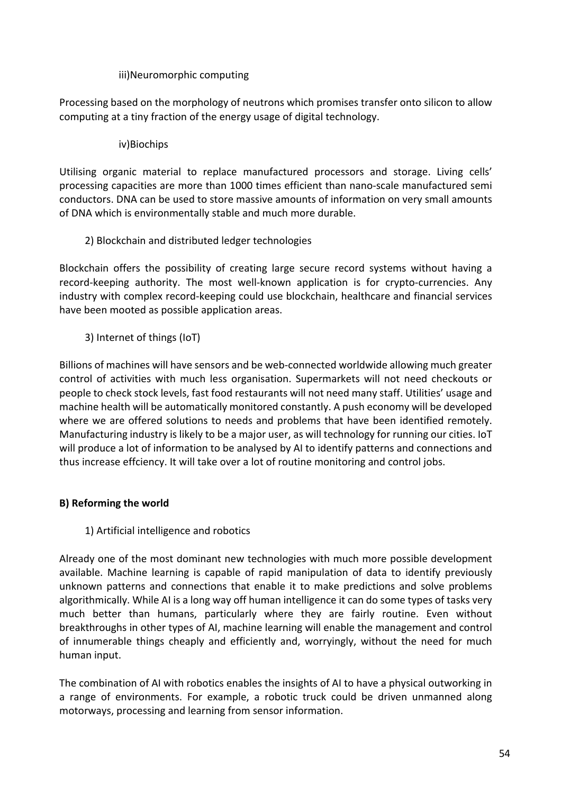## iii)Neuromorphic computing

Processing based on the morphology of neutrons which promises transfer onto silicon to allow computing at a tiny fraction of the energy usage of digital technology.

# iv)Biochips

Utilising organic material to replace manufactured processors and storage. Living cells' processing capacities are more than 1000 times efficient than nano-scale manufactured semi conductors. DNA can be used to store massive amounts of information on very small amounts of DNA which is environmentally stable and much more durable.

# 2) Blockchain and distributed ledger technologies

Blockchain offers the possibility of creating large secure record systems without having a record-keeping authority. The most well-known application is for crypto-currencies. Any industry with complex record-keeping could use blockchain, healthcare and financial services have been mooted as possible application areas.

# 3) Internet of things (IoT)

Billions of machines will have sensors and be web-connected worldwide allowing much greater control of activities with much less organisation. Supermarkets will not need checkouts or people to check stock levels, fast food restaurants will not need many staff. Utilities' usage and machine health will be automatically monitored constantly. A push economy will be developed where we are offered solutions to needs and problems that have been identified remotely. Manufacturing industry is likely to be a major user, as will technology for running our cities. IoT will produce a lot of information to be analysed by AI to identify patterns and connections and thus increase effciency. It will take over a lot of routine monitoring and control jobs.

# **B) Reforming the world**

# 1) Artificial intelligence and robotics

Already one of the most dominant new technologies with much more possible development available. Machine learning is capable of rapid manipulation of data to identify previously unknown patterns and connections that enable it to make predictions and solve problems algorithmically. While AI is a long way off human intelligence it can do some types of tasks very much better than humans, particularly where they are fairly routine. Even without breakthroughs in other types of AI, machine learning will enable the management and control of innumerable things cheaply and efficiently and, worryingly, without the need for much human input.

The combination of AI with robotics enables the insights of AI to have a physical outworking in a range of environments. For example, a robotic truck could be driven unmanned along motorways, processing and learning from sensor information.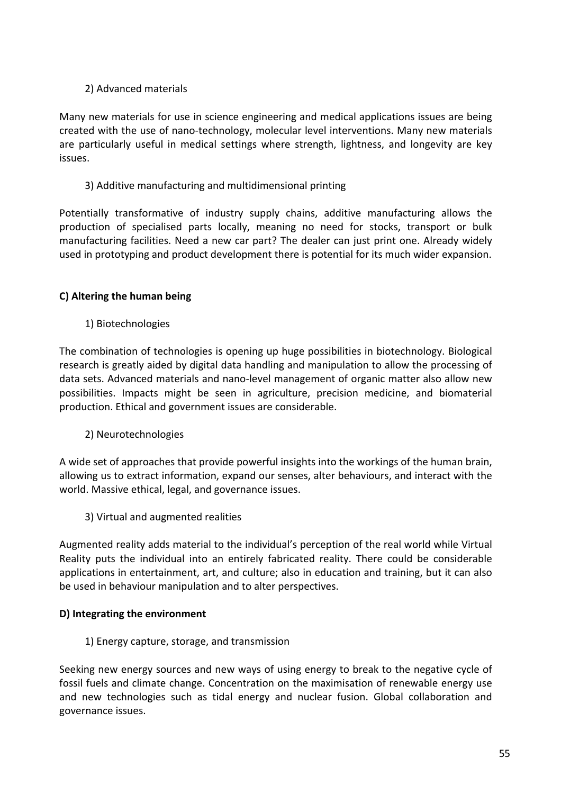# 2) Advanced materials

Many new materials for use in science engineering and medical applications issues are being created with the use of nano-technology, molecular level interventions. Many new materials are particularly useful in medical settings where strength, lightness, and longevity are key issues.

## 3) Additive manufacturing and multidimensional printing

Potentially transformative of industry supply chains, additive manufacturing allows the production of specialised parts locally, meaning no need for stocks, transport or bulk manufacturing facilities. Need a new car part? The dealer can just print one. Already widely used in prototyping and product development there is potential for its much wider expansion.

# **C) Altering the human being**

1) Biotechnologies

The combination of technologies is opening up huge possibilities in biotechnology. Biological research is greatly aided by digital data handling and manipulation to allow the processing of data sets. Advanced materials and nano-level management of organic matter also allow new possibilities. Impacts might be seen in agriculture, precision medicine, and biomaterial production. Ethical and government issues are considerable.

2) Neurotechnologies

A wide set of approaches that provide powerful insights into the workings of the human brain, allowing us to extract information, expand our senses, alter behaviours, and interact with the world. Massive ethical, legal, and governance issues.

3) Virtual and augmented realities

Augmented reality adds material to the individual's perception of the real world while Virtual Reality puts the individual into an entirely fabricated reality. There could be considerable applications in entertainment, art, and culture; also in education and training, but it can also be used in behaviour manipulation and to alter perspectives.

### **D) Integrating the environment**

1) Energy capture, storage, and transmission

Seeking new energy sources and new ways of using energy to break to the negative cycle of fossil fuels and climate change. Concentration on the maximisation of renewable energy use and new technologies such as tidal energy and nuclear fusion. Global collaboration and governance issues.